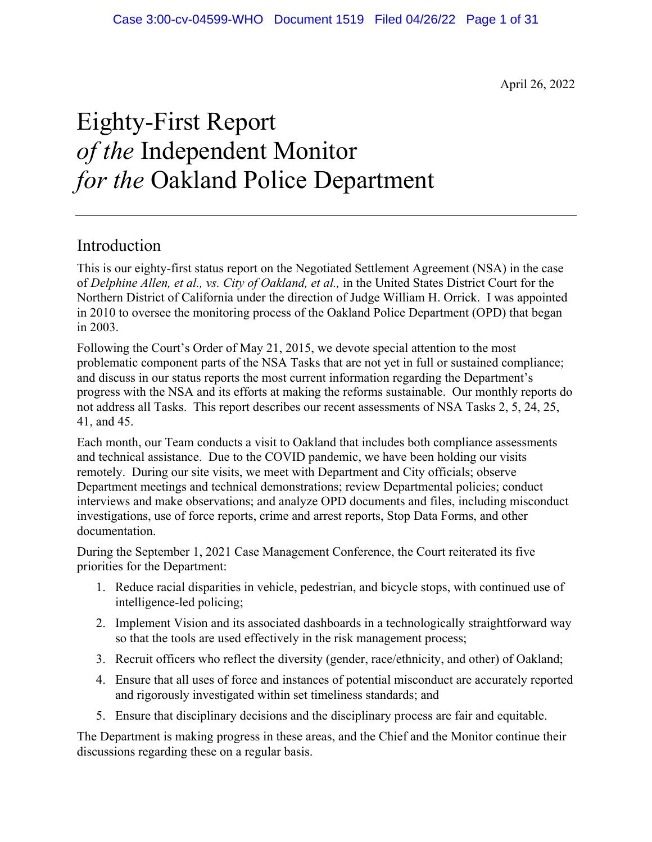April 26, 2022

# Eighty-First Report *of the* Independent Monitor *for the* Oakland Police Department

# Introduction

This is our eighty-first status report on the Negotiated Settlement Agreement (NSA) in the case of *Delphine Allen, et al., vs. City of Oakland, et al.,* in the United States District Court for the Northern District of California under the direction of Judge William H. Orrick. I was appointed in 2010 to oversee the monitoring process of the Oakland Police Department (OPD) that began in 2003.

Following the Court's Order of May 21, 2015, we devote special attention to the most problematic component parts of the NSA Tasks that are not yet in full or sustained compliance; and discuss in our status reports the most current information regarding the Department's progress with the NSA and its efforts at making the reforms sustainable. Our monthly reports do not address all Tasks. This report describes our recent assessments of NSA Tasks 2, 5, 24, 25, 41, and 45.

Each month, our Team conducts a visit to Oakland that includes both compliance assessments and technical assistance. Due to the COVID pandemic, we have been holding our visits remotely. During our site visits, we meet with Department and City officials; observe Department meetings and technical demonstrations; review Departmental policies; conduct interviews and make observations; and analyze OPD documents and files, including misconduct investigations, use of force reports, crime and arrest reports, Stop Data Forms, and other documentation.

During the September 1, 2021 Case Management Conference, the Court reiterated its five priorities for the Department:

- 1. Reduce racial disparities in vehicle, pedestrian, and bicycle stops, with continued use of intelligence-led policing;
- 2. Implement Vision and its associated dashboards in a technologically straightforward way so that the tools are used effectively in the risk management process;
- 3. Recruit officers who reflect the diversity (gender, race/ethnicity, and other) of Oakland;
- 4. Ensure that all uses of force and instances of potential misconduct are accurately reported and rigorously investigated within set timeliness standards; and
- 5. Ensure that disciplinary decisions and the disciplinary process are fair and equitable.

The Department is making progress in these areas, and the Chief and the Monitor continue their discussions regarding these on a regular basis.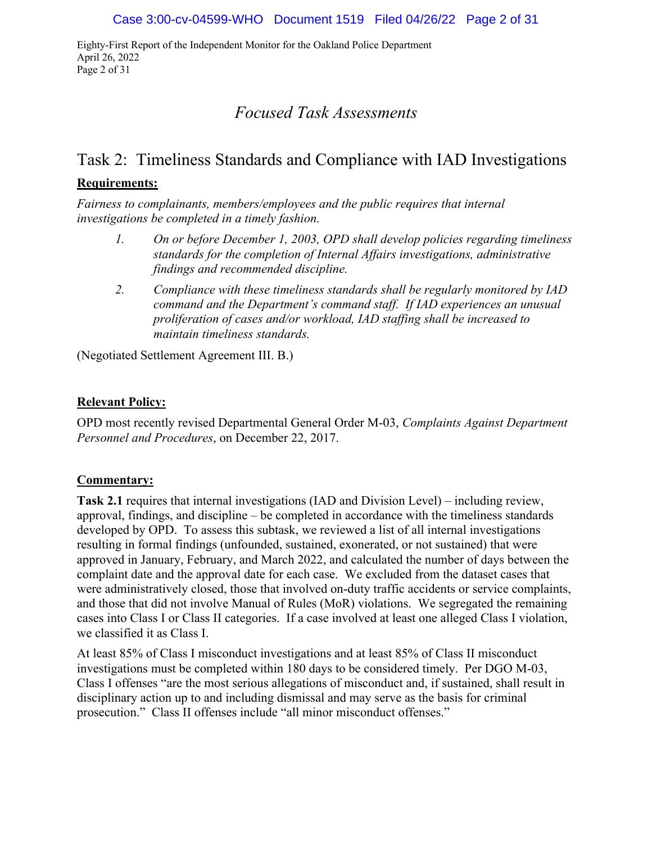Eighty-First Report of the Independent Monitor for the Oakland Police Department April 26, 2022 Page 2 of 31

# *Focused Task Assessments*

# Task 2: Timeliness Standards and Compliance with IAD Investigations

## **Requirements:**

*Fairness to complainants, members/employees and the public requires that internal investigations be completed in a timely fashion.* 

- *1. On or before December 1, 2003, OPD shall develop policies regarding timeliness standards for the completion of Internal Affairs investigations, administrative findings and recommended discipline.*
- *2. Compliance with these timeliness standards shall be regularly monitored by IAD command and the Department's command staff. If IAD experiences an unusual proliferation of cases and/or workload, IAD staffing shall be increased to maintain timeliness standards.*

(Negotiated Settlement Agreement III. B.)

### **Relevant Policy:**

OPD most recently revised Departmental General Order M-03, *Complaints Against Department Personnel and Procedures*, on December 22, 2017.

### **Commentary:**

**Task 2.1** requires that internal investigations (IAD and Division Level) – including review, approval, findings, and discipline – be completed in accordance with the timeliness standards developed by OPD. To assess this subtask, we reviewed a list of all internal investigations resulting in formal findings (unfounded, sustained, exonerated, or not sustained) that were approved in January, February, and March 2022, and calculated the number of days between the complaint date and the approval date for each case. We excluded from the dataset cases that were administratively closed, those that involved on-duty traffic accidents or service complaints, and those that did not involve Manual of Rules (MoR) violations. We segregated the remaining cases into Class I or Class II categories. If a case involved at least one alleged Class I violation, we classified it as Class I.

At least 85% of Class I misconduct investigations and at least 85% of Class II misconduct investigations must be completed within 180 days to be considered timely. Per DGO M-03, Class I offenses "are the most serious allegations of misconduct and, if sustained, shall result in disciplinary action up to and including dismissal and may serve as the basis for criminal prosecution." Class II offenses include "all minor misconduct offenses."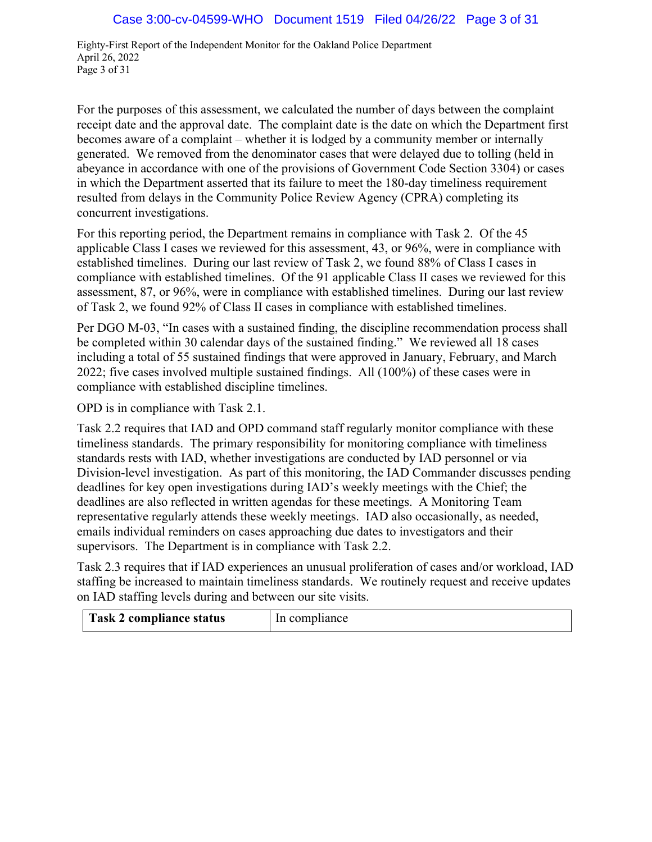Eighty-First Report of the Independent Monitor for the Oakland Police Department April 26, 2022 Page 3 of 31

For the purposes of this assessment, we calculated the number of days between the complaint receipt date and the approval date. The complaint date is the date on which the Department first becomes aware of a complaint – whether it is lodged by a community member or internally generated. We removed from the denominator cases that were delayed due to tolling (held in abeyance in accordance with one of the provisions of Government Code Section 3304) or cases in which the Department asserted that its failure to meet the 180-day timeliness requirement resulted from delays in the Community Police Review Agency (CPRA) completing its concurrent investigations.

For this reporting period, the Department remains in compliance with Task 2. Of the 45 applicable Class I cases we reviewed for this assessment, 43, or 96%, were in compliance with established timelines. During our last review of Task 2, we found 88% of Class I cases in compliance with established timelines. Of the 91 applicable Class II cases we reviewed for this assessment, 87, or 96%, were in compliance with established timelines. During our last review of Task 2, we found 92% of Class II cases in compliance with established timelines.

Per DGO M-03, "In cases with a sustained finding, the discipline recommendation process shall be completed within 30 calendar days of the sustained finding." We reviewed all 18 cases including a total of 55 sustained findings that were approved in January, February, and March 2022; five cases involved multiple sustained findings. All (100%) of these cases were in compliance with established discipline timelines.

OPD is in compliance with Task 2.1.

Task 2.2 requires that IAD and OPD command staff regularly monitor compliance with these timeliness standards. The primary responsibility for monitoring compliance with timeliness standards rests with IAD, whether investigations are conducted by IAD personnel or via Division-level investigation. As part of this monitoring, the IAD Commander discusses pending deadlines for key open investigations during IAD's weekly meetings with the Chief; the deadlines are also reflected in written agendas for these meetings. A Monitoring Team representative regularly attends these weekly meetings. IAD also occasionally, as needed, emails individual reminders on cases approaching due dates to investigators and their supervisors. The Department is in compliance with Task 2.2.

Task 2.3 requires that if IAD experiences an unusual proliferation of cases and/or workload, IAD staffing be increased to maintain timeliness standards. We routinely request and receive updates on IAD staffing levels during and between our site visits.

| <b>Task 2 compliance status</b> | In<br>npliance |
|---------------------------------|----------------|
|---------------------------------|----------------|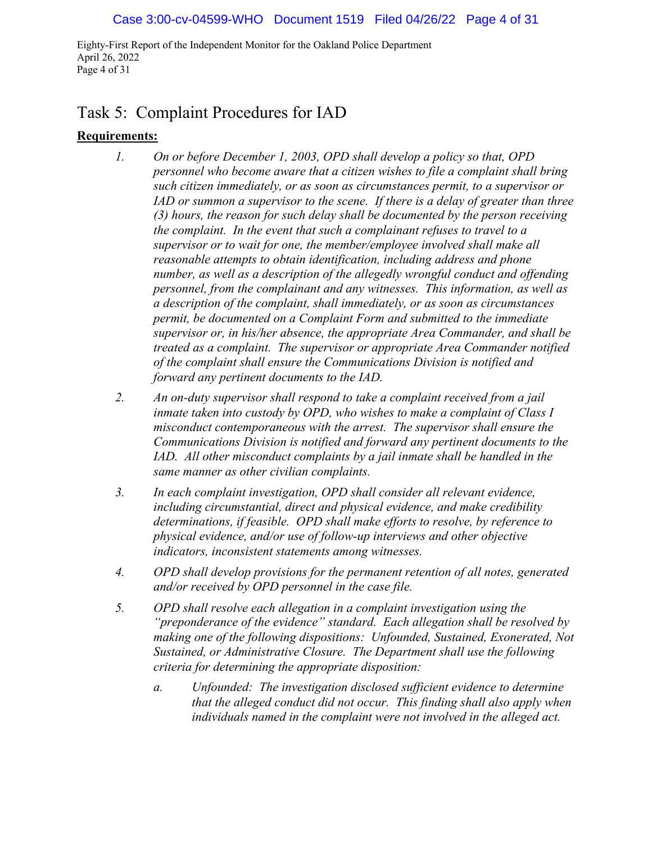Eighty-First Report of the Independent Monitor for the Oakland Police Department April 26, 2022 Page 4 of 31

# Task 5: Complaint Procedures for IAD

### **Requirements:**

- *1. On or before December 1, 2003, OPD shall develop a policy so that, OPD personnel who become aware that a citizen wishes to file a complaint shall bring such citizen immediately, or as soon as circumstances permit, to a supervisor or IAD or summon a supervisor to the scene. If there is a delay of greater than three (3) hours, the reason for such delay shall be documented by the person receiving the complaint. In the event that such a complainant refuses to travel to a supervisor or to wait for one, the member/employee involved shall make all reasonable attempts to obtain identification, including address and phone number, as well as a description of the allegedly wrongful conduct and offending personnel, from the complainant and any witnesses. This information, as well as a description of the complaint, shall immediately, or as soon as circumstances permit, be documented on a Complaint Form and submitted to the immediate supervisor or, in his/her absence, the appropriate Area Commander, and shall be treated as a complaint. The supervisor or appropriate Area Commander notified of the complaint shall ensure the Communications Division is notified and forward any pertinent documents to the IAD.*
- *2. An on-duty supervisor shall respond to take a complaint received from a jail inmate taken into custody by OPD, who wishes to make a complaint of Class I misconduct contemporaneous with the arrest. The supervisor shall ensure the Communications Division is notified and forward any pertinent documents to the IAD. All other misconduct complaints by a jail inmate shall be handled in the same manner as other civilian complaints.*
- *3. In each complaint investigation, OPD shall consider all relevant evidence, including circumstantial, direct and physical evidence, and make credibility determinations, if feasible. OPD shall make efforts to resolve, by reference to physical evidence, and/or use of follow-up interviews and other objective indicators, inconsistent statements among witnesses.*
- *4. OPD shall develop provisions for the permanent retention of all notes, generated and/or received by OPD personnel in the case file.*
- *5. OPD shall resolve each allegation in a complaint investigation using the "preponderance of the evidence" standard. Each allegation shall be resolved by making one of the following dispositions: Unfounded, Sustained, Exonerated, Not Sustained, or Administrative Closure. The Department shall use the following criteria for determining the appropriate disposition:*
	- *a. Unfounded: The investigation disclosed sufficient evidence to determine that the alleged conduct did not occur. This finding shall also apply when individuals named in the complaint were not involved in the alleged act.*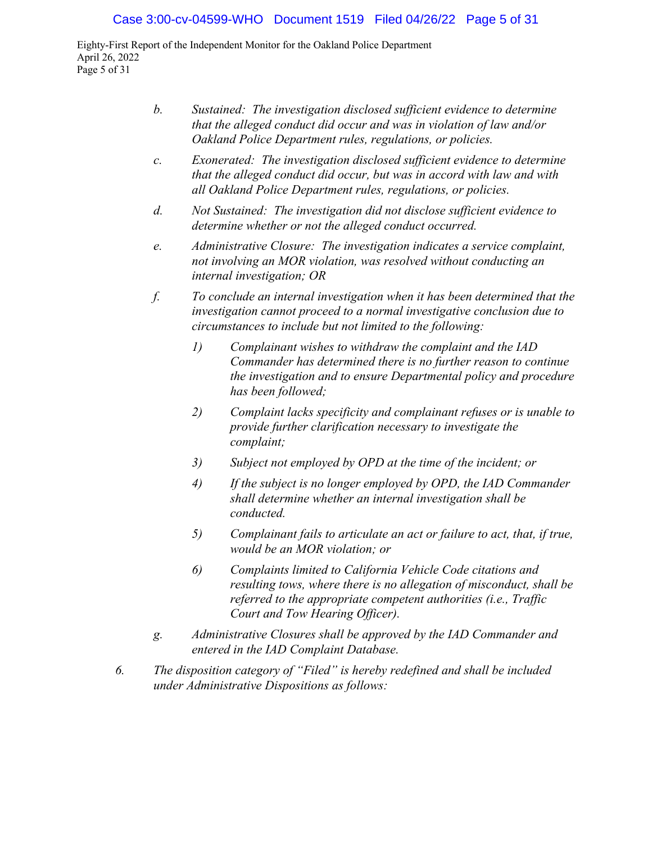#### Case 3:00-cv-04599-WHO Document 1519 Filed 04/26/22 Page 5 of 31

Eighty-First Report of the Independent Monitor for the Oakland Police Department April 26, 2022 Page 5 of 31

- *b. Sustained: The investigation disclosed sufficient evidence to determine that the alleged conduct did occur and was in violation of law and/or Oakland Police Department rules, regulations, or policies.*
- *c. Exonerated: The investigation disclosed sufficient evidence to determine that the alleged conduct did occur, but was in accord with law and with all Oakland Police Department rules, regulations, or policies.*
- *d. Not Sustained: The investigation did not disclose sufficient evidence to determine whether or not the alleged conduct occurred.*
- *e. Administrative Closure: The investigation indicates a service complaint, not involving an MOR violation, was resolved without conducting an internal investigation; OR*
- *f. To conclude an internal investigation when it has been determined that the investigation cannot proceed to a normal investigative conclusion due to circumstances to include but not limited to the following:* 
	- *1) Complainant wishes to withdraw the complaint and the IAD Commander has determined there is no further reason to continue the investigation and to ensure Departmental policy and procedure has been followed;*
	- *2) Complaint lacks specificity and complainant refuses or is unable to provide further clarification necessary to investigate the complaint;*
	- *3) Subject not employed by OPD at the time of the incident; or*
	- *4) If the subject is no longer employed by OPD, the IAD Commander shall determine whether an internal investigation shall be conducted.*
	- *5) Complainant fails to articulate an act or failure to act, that, if true, would be an MOR violation; or*
	- *6) Complaints limited to California Vehicle Code citations and resulting tows, where there is no allegation of misconduct, shall be referred to the appropriate competent authorities (i.e., Traffic Court and Tow Hearing Officer).*
- *g. Administrative Closures shall be approved by the IAD Commander and entered in the IAD Complaint Database.*
- *6. The disposition category of "Filed" is hereby redefined and shall be included under Administrative Dispositions as follows:*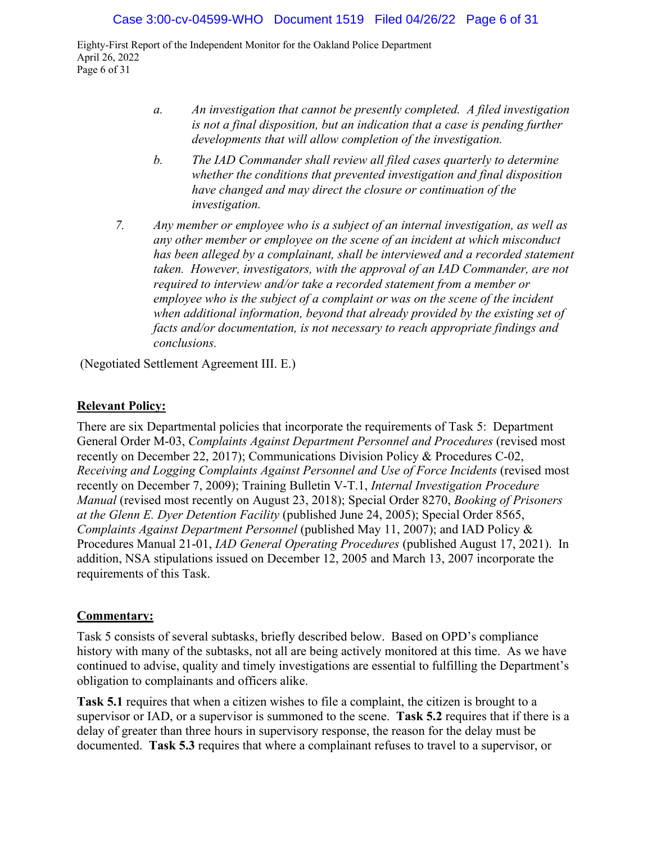Eighty-First Report of the Independent Monitor for the Oakland Police Department April 26, 2022 Page 6 of 31

- *a. An investigation that cannot be presently completed. A filed investigation is not a final disposition, but an indication that a case is pending further developments that will allow completion of the investigation.*
- *b. The IAD Commander shall review all filed cases quarterly to determine whether the conditions that prevented investigation and final disposition have changed and may direct the closure or continuation of the investigation.*
- *7. Any member or employee who is a subject of an internal investigation, as well as any other member or employee on the scene of an incident at which misconduct*  has been alleged by a complainant, shall be interviewed and a recorded statement *taken. However, investigators, with the approval of an IAD Commander, are not required to interview and/or take a recorded statement from a member or employee who is the subject of a complaint or was on the scene of the incident when additional information, beyond that already provided by the existing set of facts and/or documentation, is not necessary to reach appropriate findings and conclusions.*

(Negotiated Settlement Agreement III. E.)

### **Relevant Policy:**

There are six Departmental policies that incorporate the requirements of Task 5: Department General Order M-03, *Complaints Against Department Personnel and Procedures* (revised most recently on December 22, 2017); Communications Division Policy & Procedures C-02, *Receiving and Logging Complaints Against Personnel and Use of Force Incidents (revised most* recently on December 7, 2009); Training Bulletin V-T.1, *Internal Investigation Procedure Manual* (revised most recently on August 23, 2018); Special Order 8270, *Booking of Prisoners at the Glenn E. Dyer Detention Facility* (published June 24, 2005); Special Order 8565, *Complaints Against Department Personnel* (published May 11, 2007); and IAD Policy & Procedures Manual 21-01, *IAD General Operating Procedures* (published August 17, 2021). In addition, NSA stipulations issued on December 12, 2005 and March 13, 2007 incorporate the requirements of this Task.

#### **Commentary:**

Task 5 consists of several subtasks, briefly described below. Based on OPD's compliance history with many of the subtasks, not all are being actively monitored at this time. As we have continued to advise, quality and timely investigations are essential to fulfilling the Department's obligation to complainants and officers alike.

**Task 5.1** requires that when a citizen wishes to file a complaint, the citizen is brought to a supervisor or IAD, or a supervisor is summoned to the scene. **Task 5.2** requires that if there is a delay of greater than three hours in supervisory response, the reason for the delay must be documented. **Task 5.3** requires that where a complainant refuses to travel to a supervisor, or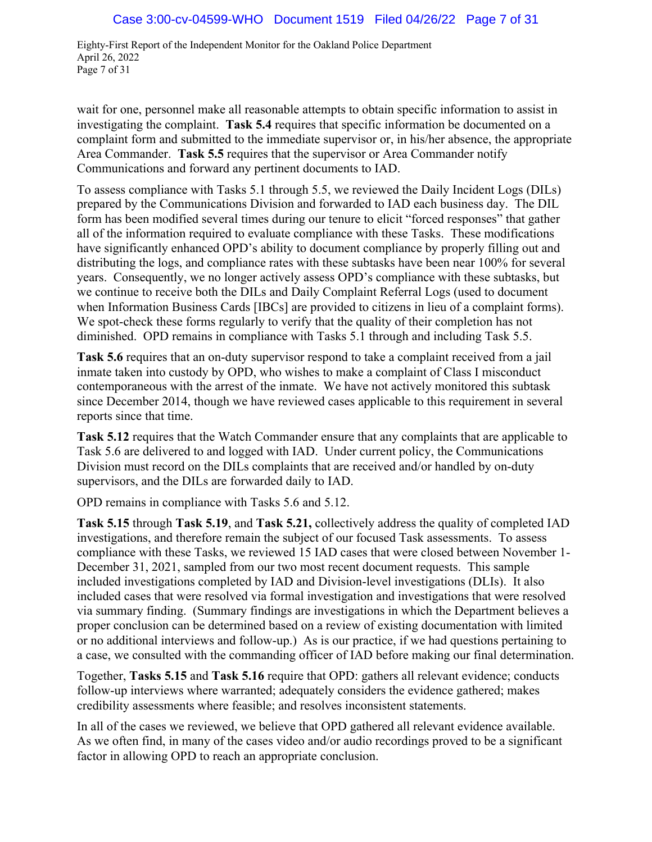Eighty-First Report of the Independent Monitor for the Oakland Police Department April 26, 2022 Page 7 of 31

wait for one, personnel make all reasonable attempts to obtain specific information to assist in investigating the complaint. **Task 5.4** requires that specific information be documented on a complaint form and submitted to the immediate supervisor or, in his/her absence, the appropriate Area Commander. **Task 5.5** requires that the supervisor or Area Commander notify Communications and forward any pertinent documents to IAD.

To assess compliance with Tasks 5.1 through 5.5, we reviewed the Daily Incident Logs (DILs) prepared by the Communications Division and forwarded to IAD each business day. The DIL form has been modified several times during our tenure to elicit "forced responses" that gather all of the information required to evaluate compliance with these Tasks. These modifications have significantly enhanced OPD's ability to document compliance by properly filling out and distributing the logs, and compliance rates with these subtasks have been near 100% for several years. Consequently, we no longer actively assess OPD's compliance with these subtasks, but we continue to receive both the DILs and Daily Complaint Referral Logs (used to document when Information Business Cards [IBCs] are provided to citizens in lieu of a complaint forms). We spot-check these forms regularly to verify that the quality of their completion has not diminished. OPD remains in compliance with Tasks 5.1 through and including Task 5.5.

**Task 5.6** requires that an on-duty supervisor respond to take a complaint received from a jail inmate taken into custody by OPD, who wishes to make a complaint of Class I misconduct contemporaneous with the arrest of the inmate. We have not actively monitored this subtask since December 2014, though we have reviewed cases applicable to this requirement in several reports since that time.

**Task 5.12** requires that the Watch Commander ensure that any complaints that are applicable to Task 5.6 are delivered to and logged with IAD. Under current policy, the Communications Division must record on the DILs complaints that are received and/or handled by on-duty supervisors, and the DILs are forwarded daily to IAD.

OPD remains in compliance with Tasks 5.6 and 5.12.

**Task 5.15** through **Task 5.19**, and **Task 5.21,** collectively address the quality of completed IAD investigations, and therefore remain the subject of our focused Task assessments. To assess compliance with these Tasks, we reviewed 15 IAD cases that were closed between November 1- December 31, 2021, sampled from our two most recent document requests. This sample included investigations completed by IAD and Division-level investigations (DLIs). It also included cases that were resolved via formal investigation and investigations that were resolved via summary finding. (Summary findings are investigations in which the Department believes a proper conclusion can be determined based on a review of existing documentation with limited or no additional interviews and follow-up.) As is our practice, if we had questions pertaining to a case, we consulted with the commanding officer of IAD before making our final determination.

Together, **Tasks 5.15** and **Task 5.16** require that OPD: gathers all relevant evidence; conducts follow-up interviews where warranted; adequately considers the evidence gathered; makes credibility assessments where feasible; and resolves inconsistent statements.

In all of the cases we reviewed, we believe that OPD gathered all relevant evidence available. As we often find, in many of the cases video and/or audio recordings proved to be a significant factor in allowing OPD to reach an appropriate conclusion.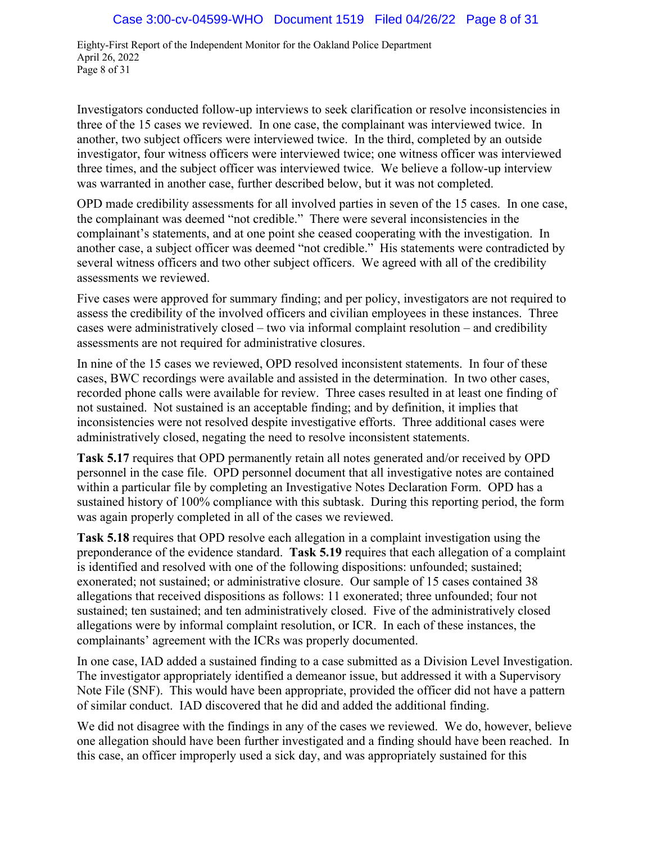Eighty-First Report of the Independent Monitor for the Oakland Police Department April 26, 2022 Page 8 of 31

Investigators conducted follow-up interviews to seek clarification or resolve inconsistencies in three of the 15 cases we reviewed. In one case, the complainant was interviewed twice. In another, two subject officers were interviewed twice. In the third, completed by an outside investigator, four witness officers were interviewed twice; one witness officer was interviewed three times, and the subject officer was interviewed twice. We believe a follow-up interview was warranted in another case, further described below, but it was not completed.

OPD made credibility assessments for all involved parties in seven of the 15 cases. In one case, the complainant was deemed "not credible." There were several inconsistencies in the complainant's statements, and at one point she ceased cooperating with the investigation. In another case, a subject officer was deemed "not credible." His statements were contradicted by several witness officers and two other subject officers. We agreed with all of the credibility assessments we reviewed.

Five cases were approved for summary finding; and per policy, investigators are not required to assess the credibility of the involved officers and civilian employees in these instances. Three cases were administratively closed – two via informal complaint resolution – and credibility assessments are not required for administrative closures.

In nine of the 15 cases we reviewed, OPD resolved inconsistent statements. In four of these cases, BWC recordings were available and assisted in the determination. In two other cases, recorded phone calls were available for review. Three cases resulted in at least one finding of not sustained. Not sustained is an acceptable finding; and by definition, it implies that inconsistencies were not resolved despite investigative efforts. Three additional cases were administratively closed, negating the need to resolve inconsistent statements.

**Task 5.17** requires that OPD permanently retain all notes generated and/or received by OPD personnel in the case file. OPD personnel document that all investigative notes are contained within a particular file by completing an Investigative Notes Declaration Form. OPD has a sustained history of 100% compliance with this subtask. During this reporting period, the form was again properly completed in all of the cases we reviewed.

**Task 5.18** requires that OPD resolve each allegation in a complaint investigation using the preponderance of the evidence standard. **Task 5.19** requires that each allegation of a complaint is identified and resolved with one of the following dispositions: unfounded; sustained; exonerated; not sustained; or administrative closure. Our sample of 15 cases contained 38 allegations that received dispositions as follows: 11 exonerated; three unfounded; four not sustained; ten sustained; and ten administratively closed. Five of the administratively closed allegations were by informal complaint resolution, or ICR. In each of these instances, the complainants' agreement with the ICRs was properly documented.

In one case, IAD added a sustained finding to a case submitted as a Division Level Investigation. The investigator appropriately identified a demeanor issue, but addressed it with a Supervisory Note File (SNF). This would have been appropriate, provided the officer did not have a pattern of similar conduct. IAD discovered that he did and added the additional finding.

We did not disagree with the findings in any of the cases we reviewed. We do, however, believe one allegation should have been further investigated and a finding should have been reached. In this case, an officer improperly used a sick day, and was appropriately sustained for this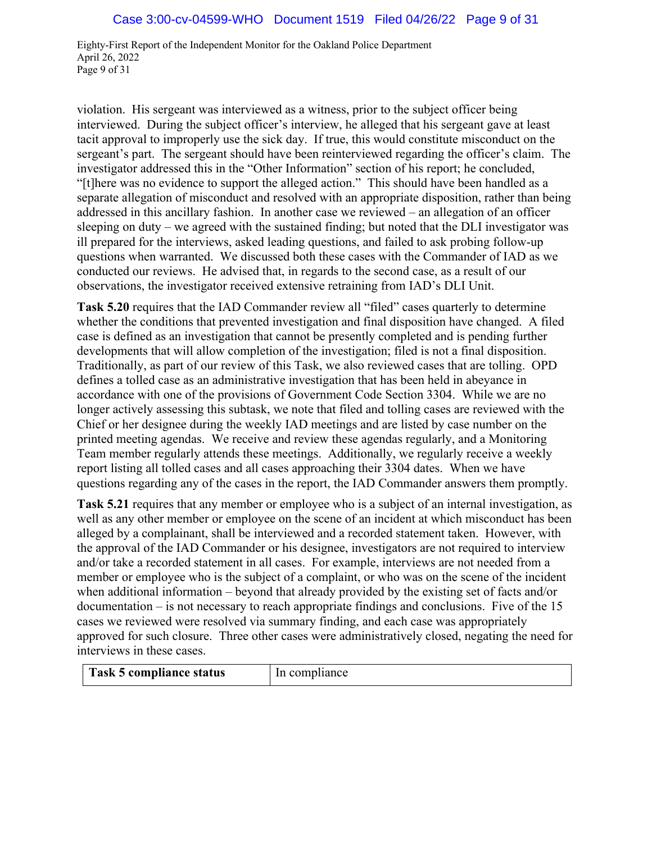Eighty-First Report of the Independent Monitor for the Oakland Police Department April 26, 2022 Page 9 of 31

violation. His sergeant was interviewed as a witness, prior to the subject officer being interviewed. During the subject officer's interview, he alleged that his sergeant gave at least tacit approval to improperly use the sick day. If true, this would constitute misconduct on the sergeant's part. The sergeant should have been reinterviewed regarding the officer's claim. The investigator addressed this in the "Other Information" section of his report; he concluded, "[t]here was no evidence to support the alleged action." This should have been handled as a separate allegation of misconduct and resolved with an appropriate disposition, rather than being addressed in this ancillary fashion. In another case we reviewed – an allegation of an officer sleeping on duty – we agreed with the sustained finding; but noted that the DLI investigator was ill prepared for the interviews, asked leading questions, and failed to ask probing follow-up questions when warranted. We discussed both these cases with the Commander of IAD as we conducted our reviews. He advised that, in regards to the second case, as a result of our observations, the investigator received extensive retraining from IAD's DLI Unit.

**Task 5.20** requires that the IAD Commander review all "filed" cases quarterly to determine whether the conditions that prevented investigation and final disposition have changed. A filed case is defined as an investigation that cannot be presently completed and is pending further developments that will allow completion of the investigation; filed is not a final disposition. Traditionally, as part of our review of this Task, we also reviewed cases that are tolling. OPD defines a tolled case as an administrative investigation that has been held in abeyance in accordance with one of the provisions of Government Code Section 3304. While we are no longer actively assessing this subtask, we note that filed and tolling cases are reviewed with the Chief or her designee during the weekly IAD meetings and are listed by case number on the printed meeting agendas. We receive and review these agendas regularly, and a Monitoring Team member regularly attends these meetings. Additionally, we regularly receive a weekly report listing all tolled cases and all cases approaching their 3304 dates. When we have questions regarding any of the cases in the report, the IAD Commander answers them promptly.

**Task 5.21** requires that any member or employee who is a subject of an internal investigation, as well as any other member or employee on the scene of an incident at which misconduct has been alleged by a complainant, shall be interviewed and a recorded statement taken. However, with the approval of the IAD Commander or his designee, investigators are not required to interview and/or take a recorded statement in all cases. For example, interviews are not needed from a member or employee who is the subject of a complaint, or who was on the scene of the incident when additional information – beyond that already provided by the existing set of facts and/or documentation – is not necessary to reach appropriate findings and conclusions. Five of the 15 cases we reviewed were resolved via summary finding, and each case was appropriately approved for such closure. Three other cases were administratively closed, negating the need for interviews in these cases.

| Task 5 compliance status | In compliance |
|--------------------------|---------------|
|                          |               |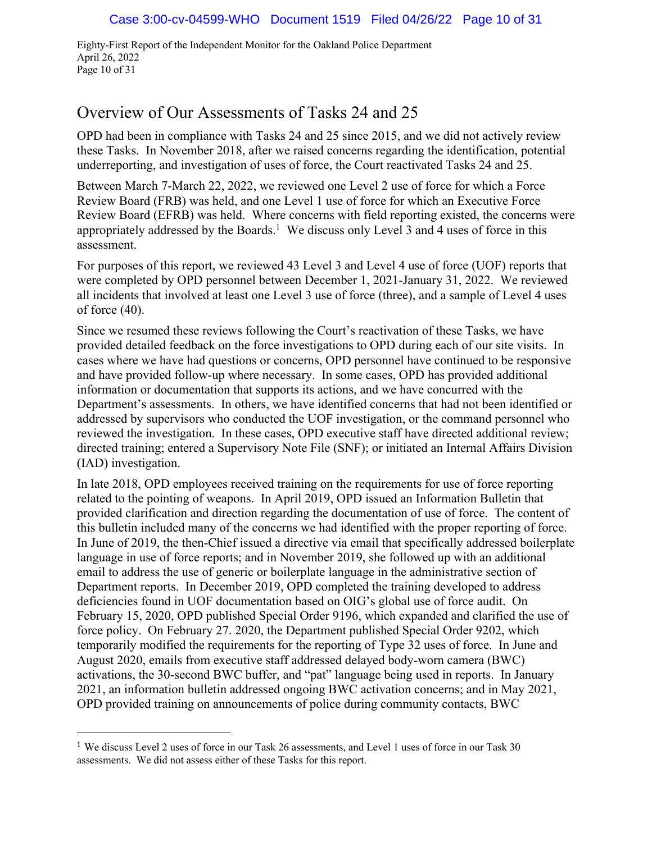Eighty-First Report of the Independent Monitor for the Oakland Police Department April 26, 2022 Page 10 of 31

# Overview of Our Assessments of Tasks 24 and 25

OPD had been in compliance with Tasks 24 and 25 since 2015, and we did not actively review these Tasks. In November 2018, after we raised concerns regarding the identification, potential underreporting, and investigation of uses of force, the Court reactivated Tasks 24 and 25.

Between March 7-March 22, 2022, we reviewed one Level 2 use of force for which a Force Review Board (FRB) was held, and one Level 1 use of force for which an Executive Force Review Board (EFRB) was held. Where concerns with field reporting existed, the concerns were appropriately addressed by the Boards.<sup>1</sup> We discuss only Level 3 and 4 uses of force in this assessment.

For purposes of this report, we reviewed 43 Level 3 and Level 4 use of force (UOF) reports that were completed by OPD personnel between December 1, 2021-January 31, 2022. We reviewed all incidents that involved at least one Level 3 use of force (three), and a sample of Level 4 uses of force (40).

Since we resumed these reviews following the Court's reactivation of these Tasks, we have provided detailed feedback on the force investigations to OPD during each of our site visits. In cases where we have had questions or concerns, OPD personnel have continued to be responsive and have provided follow-up where necessary. In some cases, OPD has provided additional information or documentation that supports its actions, and we have concurred with the Department's assessments. In others, we have identified concerns that had not been identified or addressed by supervisors who conducted the UOF investigation, or the command personnel who reviewed the investigation. In these cases, OPD executive staff have directed additional review; directed training; entered a Supervisory Note File (SNF); or initiated an Internal Affairs Division (IAD) investigation.

In late 2018, OPD employees received training on the requirements for use of force reporting related to the pointing of weapons. In April 2019, OPD issued an Information Bulletin that provided clarification and direction regarding the documentation of use of force. The content of this bulletin included many of the concerns we had identified with the proper reporting of force. In June of 2019, the then-Chief issued a directive via email that specifically addressed boilerplate language in use of force reports; and in November 2019, she followed up with an additional email to address the use of generic or boilerplate language in the administrative section of Department reports. In December 2019, OPD completed the training developed to address deficiencies found in UOF documentation based on OIG's global use of force audit. On February 15, 2020, OPD published Special Order 9196, which expanded and clarified the use of force policy. On February 27. 2020, the Department published Special Order 9202, which temporarily modified the requirements for the reporting of Type 32 uses of force. In June and August 2020, emails from executive staff addressed delayed body-worn camera (BWC) activations, the 30-second BWC buffer, and "pat" language being used in reports. In January 2021, an information bulletin addressed ongoing BWC activation concerns; and in May 2021, OPD provided training on announcements of police during community contacts, BWC

<sup>1</sup> We discuss Level 2 uses of force in our Task 26 assessments, and Level 1 uses of force in our Task 30 assessments. We did not assess either of these Tasks for this report.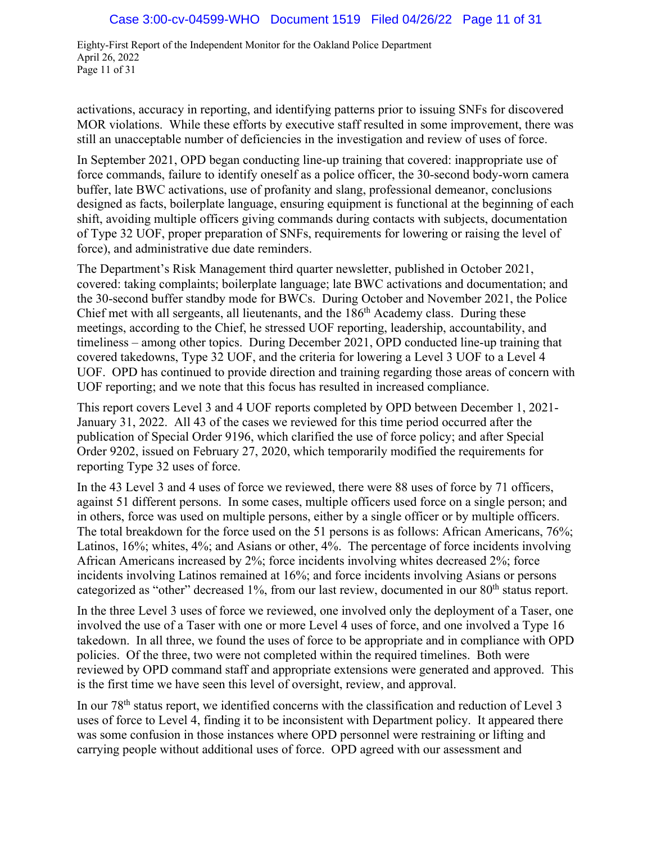Eighty-First Report of the Independent Monitor for the Oakland Police Department April 26, 2022 Page 11 of 31

activations, accuracy in reporting, and identifying patterns prior to issuing SNFs for discovered MOR violations. While these efforts by executive staff resulted in some improvement, there was still an unacceptable number of deficiencies in the investigation and review of uses of force.

In September 2021, OPD began conducting line-up training that covered: inappropriate use of force commands, failure to identify oneself as a police officer, the 30-second body-worn camera buffer, late BWC activations, use of profanity and slang, professional demeanor, conclusions designed as facts, boilerplate language, ensuring equipment is functional at the beginning of each shift, avoiding multiple officers giving commands during contacts with subjects, documentation of Type 32 UOF, proper preparation of SNFs, requirements for lowering or raising the level of force), and administrative due date reminders.

The Department's Risk Management third quarter newsletter, published in October 2021, covered: taking complaints; boilerplate language; late BWC activations and documentation; and the 30-second buffer standby mode for BWCs. During October and November 2021, the Police Chief met with all sergeants, all lieutenants, and the 186th Academy class. During these meetings, according to the Chief, he stressed UOF reporting, leadership, accountability, and timeliness – among other topics. During December 2021, OPD conducted line-up training that covered takedowns, Type 32 UOF, and the criteria for lowering a Level 3 UOF to a Level 4 UOF. OPD has continued to provide direction and training regarding those areas of concern with UOF reporting; and we note that this focus has resulted in increased compliance.

This report covers Level 3 and 4 UOF reports completed by OPD between December 1, 2021- January 31, 2022. All 43 of the cases we reviewed for this time period occurred after the publication of Special Order 9196, which clarified the use of force policy; and after Special Order 9202, issued on February 27, 2020, which temporarily modified the requirements for reporting Type 32 uses of force.

In the 43 Level 3 and 4 uses of force we reviewed, there were 88 uses of force by 71 officers, against 51 different persons. In some cases, multiple officers used force on a single person; and in others, force was used on multiple persons, either by a single officer or by multiple officers. The total breakdown for the force used on the 51 persons is as follows: African Americans, 76%; Latinos, 16%; whites, 4%; and Asians or other, 4%. The percentage of force incidents involving African Americans increased by 2%; force incidents involving whites decreased 2%; force incidents involving Latinos remained at 16%; and force incidents involving Asians or persons categorized as "other" decreased 1%, from our last review, documented in our 80<sup>th</sup> status report.

In the three Level 3 uses of force we reviewed, one involved only the deployment of a Taser, one involved the use of a Taser with one or more Level 4 uses of force, and one involved a Type 16 takedown. In all three, we found the uses of force to be appropriate and in compliance with OPD policies. Of the three, two were not completed within the required timelines. Both were reviewed by OPD command staff and appropriate extensions were generated and approved. This is the first time we have seen this level of oversight, review, and approval.

In our 78<sup>th</sup> status report, we identified concerns with the classification and reduction of Level 3 uses of force to Level 4, finding it to be inconsistent with Department policy. It appeared there was some confusion in those instances where OPD personnel were restraining or lifting and carrying people without additional uses of force. OPD agreed with our assessment and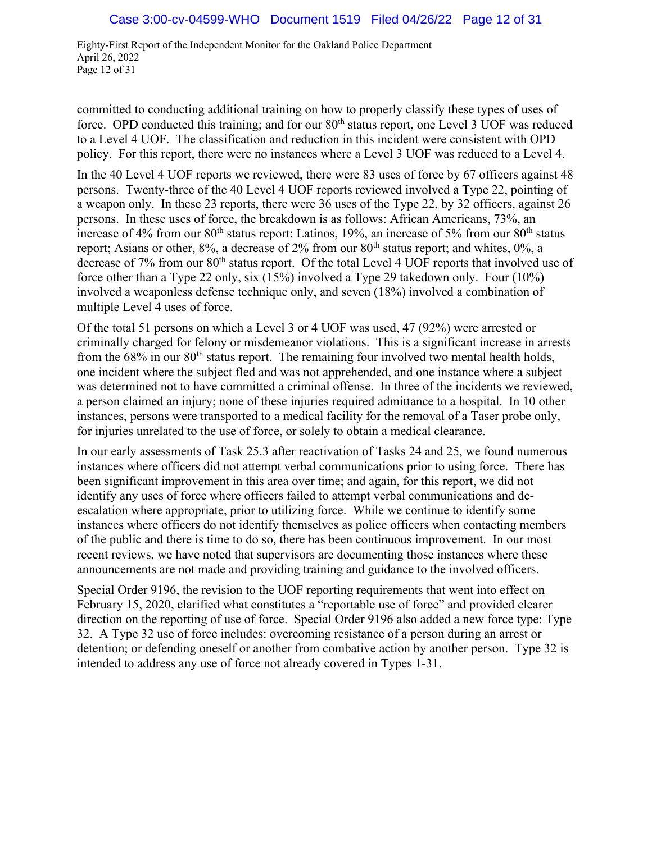Eighty-First Report of the Independent Monitor for the Oakland Police Department April 26, 2022 Page 12 of 31

committed to conducting additional training on how to properly classify these types of uses of force. OPD conducted this training; and for our  $80<sup>th</sup>$  status report, one Level 3 UOF was reduced to a Level 4 UOF. The classification and reduction in this incident were consistent with OPD policy. For this report, there were no instances where a Level 3 UOF was reduced to a Level 4.

In the 40 Level 4 UOF reports we reviewed, there were 83 uses of force by 67 officers against 48 persons. Twenty-three of the 40 Level 4 UOF reports reviewed involved a Type 22, pointing of a weapon only. In these 23 reports, there were 36 uses of the Type 22, by 32 officers, against 26 persons. In these uses of force, the breakdown is as follows: African Americans, 73%, an increase of 4% from our  $80<sup>th</sup>$  status report; Latinos, 19%, an increase of 5% from our  $80<sup>th</sup>$  status report; Asians or other,  $8\%$ , a decrease of  $2\%$  from our  $80<sup>th</sup>$  status report; and whites,  $0\%$ , a decrease of 7% from our 80<sup>th</sup> status report. Of the total Level 4 UOF reports that involved use of force other than a Type 22 only, six (15%) involved a Type 29 takedown only. Four (10%) involved a weaponless defense technique only, and seven (18%) involved a combination of multiple Level 4 uses of force.

Of the total 51 persons on which a Level 3 or 4 UOF was used, 47 (92%) were arrested or criminally charged for felony or misdemeanor violations. This is a significant increase in arrests from the  $68\%$  in our  $80<sup>th</sup>$  status report. The remaining four involved two mental health holds, one incident where the subject fled and was not apprehended, and one instance where a subject was determined not to have committed a criminal offense. In three of the incidents we reviewed, a person claimed an injury; none of these injuries required admittance to a hospital. In 10 other instances, persons were transported to a medical facility for the removal of a Taser probe only, for injuries unrelated to the use of force, or solely to obtain a medical clearance.

In our early assessments of Task 25.3 after reactivation of Tasks 24 and 25, we found numerous instances where officers did not attempt verbal communications prior to using force. There has been significant improvement in this area over time; and again, for this report, we did not identify any uses of force where officers failed to attempt verbal communications and deescalation where appropriate, prior to utilizing force. While we continue to identify some instances where officers do not identify themselves as police officers when contacting members of the public and there is time to do so, there has been continuous improvement. In our most recent reviews, we have noted that supervisors are documenting those instances where these announcements are not made and providing training and guidance to the involved officers.

Special Order 9196, the revision to the UOF reporting requirements that went into effect on February 15, 2020, clarified what constitutes a "reportable use of force" and provided clearer direction on the reporting of use of force. Special Order 9196 also added a new force type: Type 32. A Type 32 use of force includes: overcoming resistance of a person during an arrest or detention; or defending oneself or another from combative action by another person. Type 32 is intended to address any use of force not already covered in Types 1-31.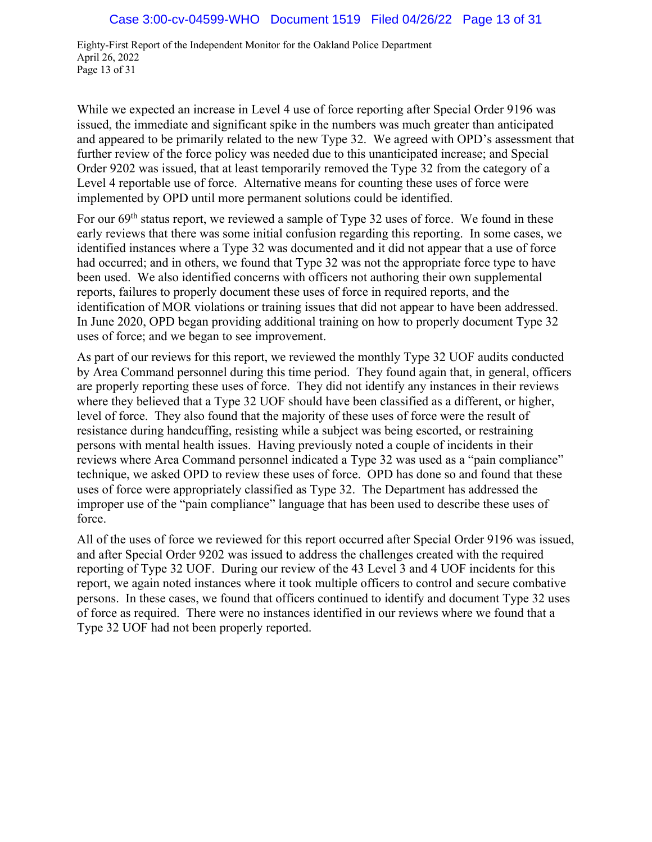Eighty-First Report of the Independent Monitor for the Oakland Police Department April 26, 2022 Page 13 of 31

While we expected an increase in Level 4 use of force reporting after Special Order 9196 was issued, the immediate and significant spike in the numbers was much greater than anticipated and appeared to be primarily related to the new Type 32. We agreed with OPD's assessment that further review of the force policy was needed due to this unanticipated increase; and Special Order 9202 was issued, that at least temporarily removed the Type 32 from the category of a Level 4 reportable use of force. Alternative means for counting these uses of force were implemented by OPD until more permanent solutions could be identified.

For our 69th status report, we reviewed a sample of Type 32 uses of force. We found in these early reviews that there was some initial confusion regarding this reporting. In some cases, we identified instances where a Type 32 was documented and it did not appear that a use of force had occurred; and in others, we found that Type 32 was not the appropriate force type to have been used. We also identified concerns with officers not authoring their own supplemental reports, failures to properly document these uses of force in required reports, and the identification of MOR violations or training issues that did not appear to have been addressed. In June 2020, OPD began providing additional training on how to properly document Type 32 uses of force; and we began to see improvement.

As part of our reviews for this report, we reviewed the monthly Type 32 UOF audits conducted by Area Command personnel during this time period. They found again that, in general, officers are properly reporting these uses of force. They did not identify any instances in their reviews where they believed that a Type 32 UOF should have been classified as a different, or higher, level of force. They also found that the majority of these uses of force were the result of resistance during handcuffing, resisting while a subject was being escorted, or restraining persons with mental health issues. Having previously noted a couple of incidents in their reviews where Area Command personnel indicated a Type 32 was used as a "pain compliance" technique, we asked OPD to review these uses of force. OPD has done so and found that these uses of force were appropriately classified as Type 32. The Department has addressed the improper use of the "pain compliance" language that has been used to describe these uses of force.

All of the uses of force we reviewed for this report occurred after Special Order 9196 was issued, and after Special Order 9202 was issued to address the challenges created with the required reporting of Type 32 UOF. During our review of the 43 Level 3 and 4 UOF incidents for this report, we again noted instances where it took multiple officers to control and secure combative persons. In these cases, we found that officers continued to identify and document Type 32 uses of force as required. There were no instances identified in our reviews where we found that a Type 32 UOF had not been properly reported.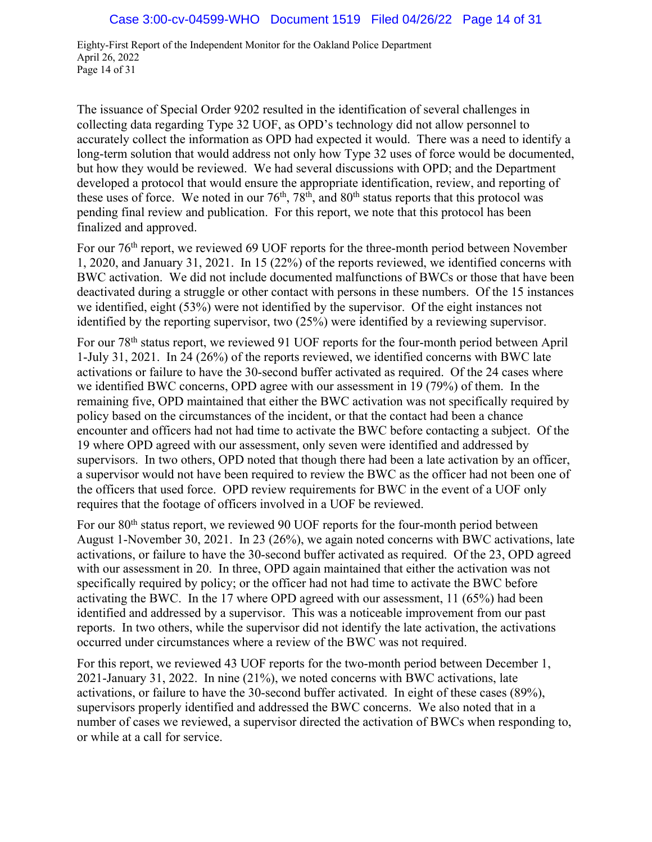Eighty-First Report of the Independent Monitor for the Oakland Police Department April 26, 2022 Page 14 of 31

The issuance of Special Order 9202 resulted in the identification of several challenges in collecting data regarding Type 32 UOF, as OPD's technology did not allow personnel to accurately collect the information as OPD had expected it would. There was a need to identify a long-term solution that would address not only how Type 32 uses of force would be documented, but how they would be reviewed. We had several discussions with OPD; and the Department developed a protocol that would ensure the appropriate identification, review, and reporting of these uses of force. We noted in our  $76<sup>th</sup>$ ,  $78<sup>th</sup>$ , and  $80<sup>th</sup>$  status reports that this protocol was pending final review and publication. For this report, we note that this protocol has been finalized and approved.

For our 76<sup>th</sup> report, we reviewed 69 UOF reports for the three-month period between November 1, 2020, and January 31, 2021. In 15 (22%) of the reports reviewed, we identified concerns with BWC activation. We did not include documented malfunctions of BWCs or those that have been deactivated during a struggle or other contact with persons in these numbers. Of the 15 instances we identified, eight (53%) were not identified by the supervisor. Of the eight instances not identified by the reporting supervisor, two (25%) were identified by a reviewing supervisor.

For our 78th status report, we reviewed 91 UOF reports for the four-month period between April 1-July 31, 2021. In 24 (26%) of the reports reviewed, we identified concerns with BWC late activations or failure to have the 30-second buffer activated as required. Of the 24 cases where we identified BWC concerns, OPD agree with our assessment in 19 (79%) of them. In the remaining five, OPD maintained that either the BWC activation was not specifically required by policy based on the circumstances of the incident, or that the contact had been a chance encounter and officers had not had time to activate the BWC before contacting a subject. Of the 19 where OPD agreed with our assessment, only seven were identified and addressed by supervisors. In two others, OPD noted that though there had been a late activation by an officer, a supervisor would not have been required to review the BWC as the officer had not been one of the officers that used force. OPD review requirements for BWC in the event of a UOF only requires that the footage of officers involved in a UOF be reviewed.

For our 80<sup>th</sup> status report, we reviewed 90 UOF reports for the four-month period between August 1-November 30, 2021. In 23 (26%), we again noted concerns with BWC activations, late activations, or failure to have the 30-second buffer activated as required. Of the 23, OPD agreed with our assessment in 20. In three, OPD again maintained that either the activation was not specifically required by policy; or the officer had not had time to activate the BWC before activating the BWC. In the 17 where OPD agreed with our assessment, 11 (65%) had been identified and addressed by a supervisor. This was a noticeable improvement from our past reports. In two others, while the supervisor did not identify the late activation, the activations occurred under circumstances where a review of the BWC was not required.

For this report, we reviewed 43 UOF reports for the two-month period between December 1, 2021-January 31, 2022. In nine (21%), we noted concerns with BWC activations, late activations, or failure to have the 30-second buffer activated. In eight of these cases (89%), supervisors properly identified and addressed the BWC concerns. We also noted that in a number of cases we reviewed, a supervisor directed the activation of BWCs when responding to, or while at a call for service.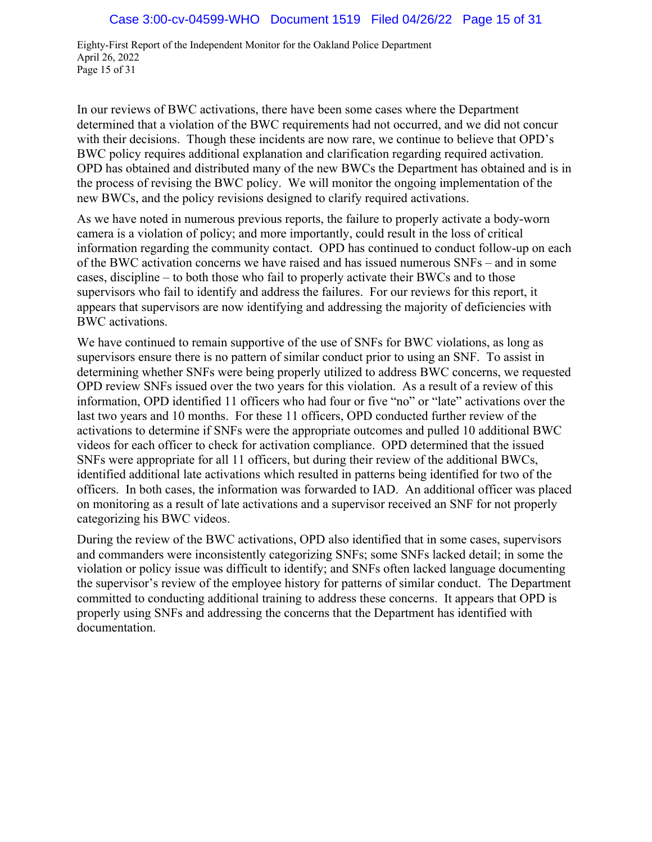Eighty-First Report of the Independent Monitor for the Oakland Police Department April 26, 2022 Page 15 of 31

In our reviews of BWC activations, there have been some cases where the Department determined that a violation of the BWC requirements had not occurred, and we did not concur with their decisions. Though these incidents are now rare, we continue to believe that OPD's BWC policy requires additional explanation and clarification regarding required activation. OPD has obtained and distributed many of the new BWCs the Department has obtained and is in the process of revising the BWC policy. We will monitor the ongoing implementation of the new BWCs, and the policy revisions designed to clarify required activations.

As we have noted in numerous previous reports, the failure to properly activate a body-worn camera is a violation of policy; and more importantly, could result in the loss of critical information regarding the community contact. OPD has continued to conduct follow-up on each of the BWC activation concerns we have raised and has issued numerous SNFs – and in some cases, discipline – to both those who fail to properly activate their BWCs and to those supervisors who fail to identify and address the failures. For our reviews for this report, it appears that supervisors are now identifying and addressing the majority of deficiencies with BWC activations.

We have continued to remain supportive of the use of SNFs for BWC violations, as long as supervisors ensure there is no pattern of similar conduct prior to using an SNF. To assist in determining whether SNFs were being properly utilized to address BWC concerns, we requested OPD review SNFs issued over the two years for this violation. As a result of a review of this information, OPD identified 11 officers who had four or five "no" or "late" activations over the last two years and 10 months. For these 11 officers, OPD conducted further review of the activations to determine if SNFs were the appropriate outcomes and pulled 10 additional BWC videos for each officer to check for activation compliance. OPD determined that the issued SNFs were appropriate for all 11 officers, but during their review of the additional BWCs, identified additional late activations which resulted in patterns being identified for two of the officers. In both cases, the information was forwarded to IAD. An additional officer was placed on monitoring as a result of late activations and a supervisor received an SNF for not properly categorizing his BWC videos.

During the review of the BWC activations, OPD also identified that in some cases, supervisors and commanders were inconsistently categorizing SNFs; some SNFs lacked detail; in some the violation or policy issue was difficult to identify; and SNFs often lacked language documenting the supervisor's review of the employee history for patterns of similar conduct. The Department committed to conducting additional training to address these concerns. It appears that OPD is properly using SNFs and addressing the concerns that the Department has identified with documentation.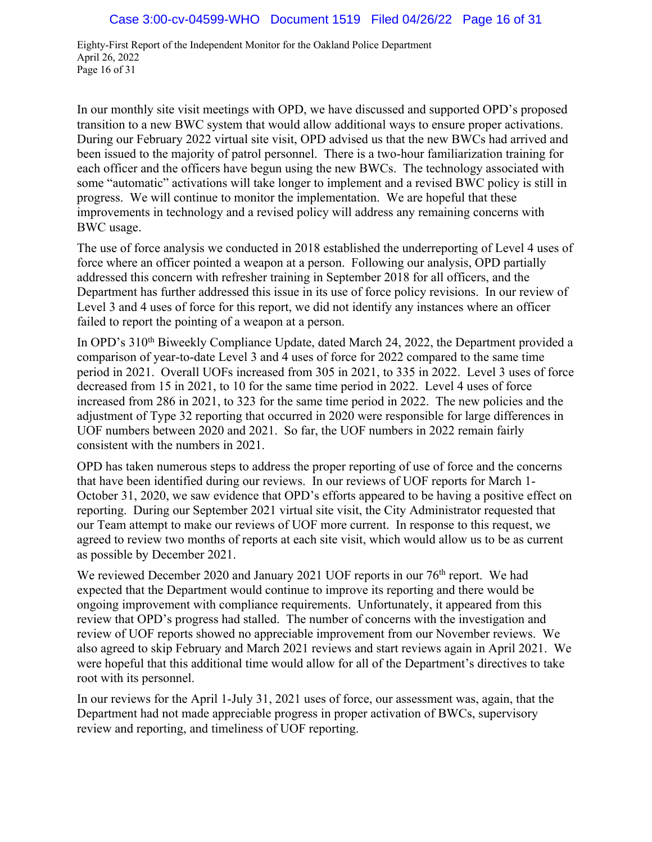Eighty-First Report of the Independent Monitor for the Oakland Police Department April 26, 2022 Page 16 of 31

In our monthly site visit meetings with OPD, we have discussed and supported OPD's proposed transition to a new BWC system that would allow additional ways to ensure proper activations. During our February 2022 virtual site visit, OPD advised us that the new BWCs had arrived and been issued to the majority of patrol personnel. There is a two-hour familiarization training for each officer and the officers have begun using the new BWCs. The technology associated with some "automatic" activations will take longer to implement and a revised BWC policy is still in progress. We will continue to monitor the implementation. We are hopeful that these improvements in technology and a revised policy will address any remaining concerns with BWC usage.

The use of force analysis we conducted in 2018 established the underreporting of Level 4 uses of force where an officer pointed a weapon at a person. Following our analysis, OPD partially addressed this concern with refresher training in September 2018 for all officers, and the Department has further addressed this issue in its use of force policy revisions. In our review of Level 3 and 4 uses of force for this report, we did not identify any instances where an officer failed to report the pointing of a weapon at a person.

In OPD's 310<sup>th</sup> Biweekly Compliance Update, dated March 24, 2022, the Department provided a comparison of year-to-date Level 3 and 4 uses of force for 2022 compared to the same time period in 2021. Overall UOFs increased from 305 in 2021, to 335 in 2022. Level 3 uses of force decreased from 15 in 2021, to 10 for the same time period in 2022. Level 4 uses of force increased from 286 in 2021, to 323 for the same time period in 2022. The new policies and the adjustment of Type 32 reporting that occurred in 2020 were responsible for large differences in UOF numbers between 2020 and 2021. So far, the UOF numbers in 2022 remain fairly consistent with the numbers in 2021.

OPD has taken numerous steps to address the proper reporting of use of force and the concerns that have been identified during our reviews. In our reviews of UOF reports for March 1- October 31, 2020, we saw evidence that OPD's efforts appeared to be having a positive effect on reporting. During our September 2021 virtual site visit, the City Administrator requested that our Team attempt to make our reviews of UOF more current. In response to this request, we agreed to review two months of reports at each site visit, which would allow us to be as current as possible by December 2021.

We reviewed December 2020 and January 2021 UOF reports in our  $76<sup>th</sup>$  report. We had expected that the Department would continue to improve its reporting and there would be ongoing improvement with compliance requirements. Unfortunately, it appeared from this review that OPD's progress had stalled. The number of concerns with the investigation and review of UOF reports showed no appreciable improvement from our November reviews. We also agreed to skip February and March 2021 reviews and start reviews again in April 2021. We were hopeful that this additional time would allow for all of the Department's directives to take root with its personnel.

In our reviews for the April 1-July 31, 2021 uses of force, our assessment was, again, that the Department had not made appreciable progress in proper activation of BWCs, supervisory review and reporting, and timeliness of UOF reporting.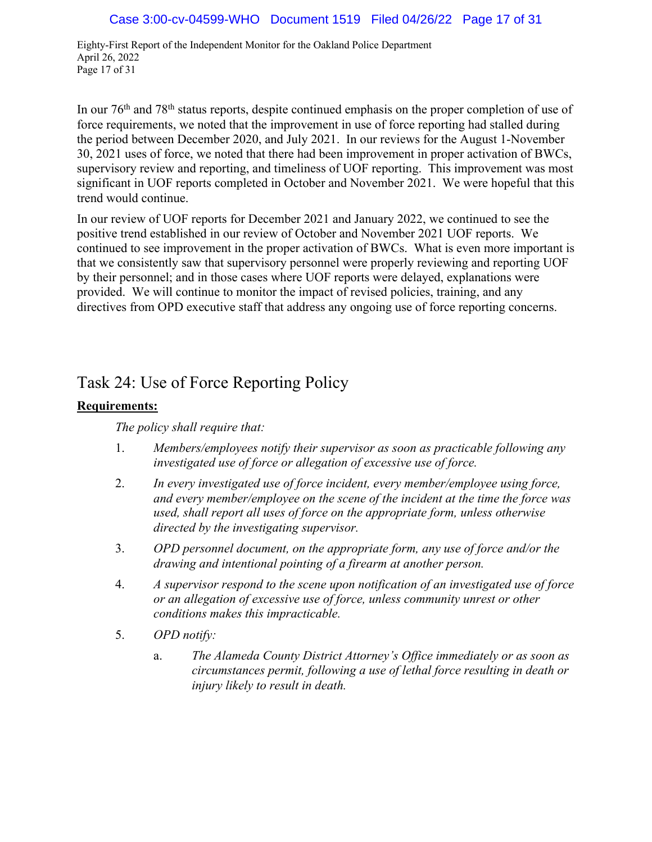Eighty-First Report of the Independent Monitor for the Oakland Police Department April 26, 2022 Page 17 of 31

In our 76<sup>th</sup> and 78<sup>th</sup> status reports, despite continued emphasis on the proper completion of use of force requirements, we noted that the improvement in use of force reporting had stalled during the period between December 2020, and July 2021. In our reviews for the August 1-November 30, 2021 uses of force, we noted that there had been improvement in proper activation of BWCs, supervisory review and reporting, and timeliness of UOF reporting. This improvement was most significant in UOF reports completed in October and November 2021. We were hopeful that this trend would continue.

In our review of UOF reports for December 2021 and January 2022, we continued to see the positive trend established in our review of October and November 2021 UOF reports. We continued to see improvement in the proper activation of BWCs. What is even more important is that we consistently saw that supervisory personnel were properly reviewing and reporting UOF by their personnel; and in those cases where UOF reports were delayed, explanations were provided. We will continue to monitor the impact of revised policies, training, and any directives from OPD executive staff that address any ongoing use of force reporting concerns.

# Task 24: Use of Force Reporting Policy

# **Requirements:**

### *The policy shall require that:*

- 1. *Members/employees notify their supervisor as soon as practicable following any investigated use of force or allegation of excessive use of force.*
- 2. *In every investigated use of force incident, every member/employee using force, and every member/employee on the scene of the incident at the time the force was used, shall report all uses of force on the appropriate form, unless otherwise directed by the investigating supervisor.*
- 3. *OPD personnel document, on the appropriate form, any use of force and/or the drawing and intentional pointing of a firearm at another person.*
- 4. *A supervisor respond to the scene upon notification of an investigated use of force or an allegation of excessive use of force, unless community unrest or other conditions makes this impracticable.*
- 5. *OPD notify:*
	- a. *The Alameda County District Attorney's Office immediately or as soon as circumstances permit, following a use of lethal force resulting in death or injury likely to result in death.*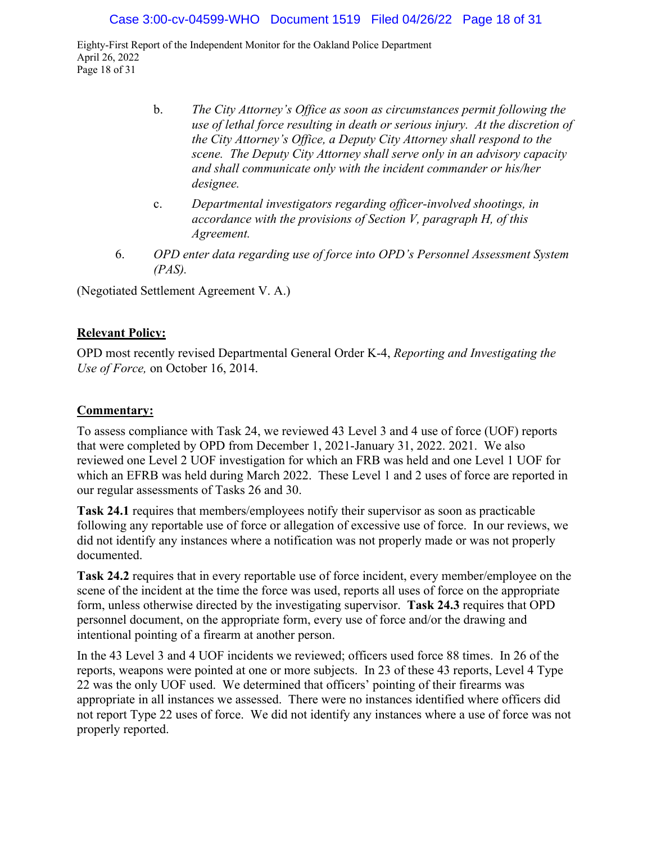Eighty-First Report of the Independent Monitor for the Oakland Police Department April 26, 2022 Page 18 of 31

- b. *The City Attorney's Office as soon as circumstances permit following the use of lethal force resulting in death or serious injury. At the discretion of the City Attorney's Office, a Deputy City Attorney shall respond to the scene. The Deputy City Attorney shall serve only in an advisory capacity and shall communicate only with the incident commander or his/her designee.*
- c. *Departmental investigators regarding officer-involved shootings, in accordance with the provisions of Section V, paragraph H, of this Agreement.*
- 6. *OPD enter data regarding use of force into OPD's Personnel Assessment System (PAS).*

(Negotiated Settlement Agreement V. A.)

#### **Relevant Policy:**

OPD most recently revised Departmental General Order K-4, *Reporting and Investigating the Use of Force,* on October 16, 2014.

#### **Commentary:**

To assess compliance with Task 24, we reviewed 43 Level 3 and 4 use of force (UOF) reports that were completed by OPD from December 1, 2021-January 31, 2022. 2021. We also reviewed one Level 2 UOF investigation for which an FRB was held and one Level 1 UOF for which an EFRB was held during March 2022. These Level 1 and 2 uses of force are reported in our regular assessments of Tasks 26 and 30.

**Task 24.1** requires that members/employees notify their supervisor as soon as practicable following any reportable use of force or allegation of excessive use of force. In our reviews, we did not identify any instances where a notification was not properly made or was not properly documented.

**Task 24.2** requires that in every reportable use of force incident, every member/employee on the scene of the incident at the time the force was used, reports all uses of force on the appropriate form, unless otherwise directed by the investigating supervisor. **Task 24.3** requires that OPD personnel document, on the appropriate form, every use of force and/or the drawing and intentional pointing of a firearm at another person.

In the 43 Level 3 and 4 UOF incidents we reviewed; officers used force 88 times. In 26 of the reports, weapons were pointed at one or more subjects. In 23 of these 43 reports, Level 4 Type 22 was the only UOF used. We determined that officers' pointing of their firearms was appropriate in all instances we assessed. There were no instances identified where officers did not report Type 22 uses of force. We did not identify any instances where a use of force was not properly reported.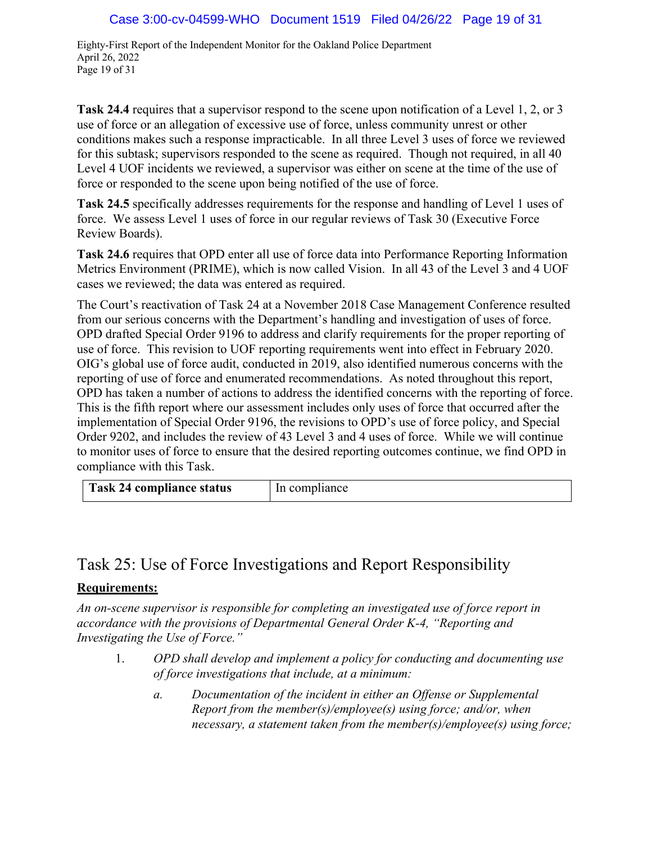Eighty-First Report of the Independent Monitor for the Oakland Police Department April 26, 2022 Page 19 of 31

**Task 24.4** requires that a supervisor respond to the scene upon notification of a Level 1, 2, or 3 use of force or an allegation of excessive use of force, unless community unrest or other conditions makes such a response impracticable. In all three Level 3 uses of force we reviewed for this subtask; supervisors responded to the scene as required. Though not required, in all 40 Level 4 UOF incidents we reviewed, a supervisor was either on scene at the time of the use of force or responded to the scene upon being notified of the use of force.

**Task 24.5** specifically addresses requirements for the response and handling of Level 1 uses of force. We assess Level 1 uses of force in our regular reviews of Task 30 (Executive Force Review Boards).

**Task 24.6** requires that OPD enter all use of force data into Performance Reporting Information Metrics Environment (PRIME), which is now called Vision. In all 43 of the Level 3 and 4 UOF cases we reviewed; the data was entered as required.

The Court's reactivation of Task 24 at a November 2018 Case Management Conference resulted from our serious concerns with the Department's handling and investigation of uses of force. OPD drafted Special Order 9196 to address and clarify requirements for the proper reporting of use of force. This revision to UOF reporting requirements went into effect in February 2020. OIG's global use of force audit, conducted in 2019, also identified numerous concerns with the reporting of use of force and enumerated recommendations. As noted throughout this report, OPD has taken a number of actions to address the identified concerns with the reporting of force. This is the fifth report where our assessment includes only uses of force that occurred after the implementation of Special Order 9196, the revisions to OPD's use of force policy, and Special Order 9202, and includes the review of 43 Level 3 and 4 uses of force. While we will continue to monitor uses of force to ensure that the desired reporting outcomes continue, we find OPD in compliance with this Task.

| Task 24 compliance status<br>In compliance |
|--------------------------------------------|
|--------------------------------------------|

# Task 25: Use of Force Investigations and Report Responsibility

# **Requirements:**

*An on-scene supervisor is responsible for completing an investigated use of force report in accordance with the provisions of Departmental General Order K-4, "Reporting and Investigating the Use of Force."* 

- 1. *OPD shall develop and implement a policy for conducting and documenting use of force investigations that include, at a minimum:*
	- *a. Documentation of the incident in either an Offense or Supplemental Report from the member(s)/employee(s) using force; and/or, when necessary, a statement taken from the member(s)/employee(s) using force;*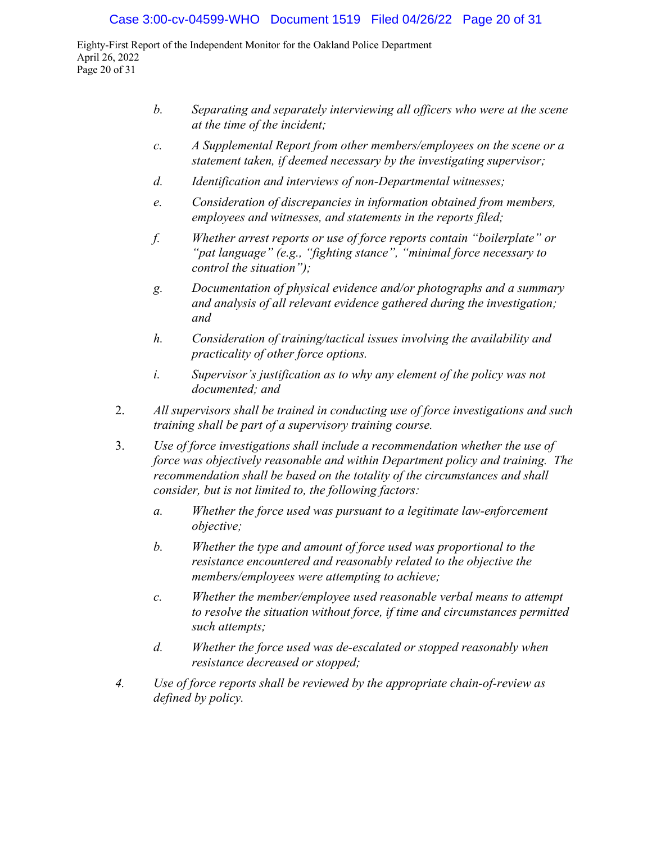Eighty-First Report of the Independent Monitor for the Oakland Police Department April 26, 2022 Page 20 of 31

- *b. Separating and separately interviewing all officers who were at the scene at the time of the incident;*
- *c. A Supplemental Report from other members/employees on the scene or a statement taken, if deemed necessary by the investigating supervisor;*
- *d. Identification and interviews of non-Departmental witnesses;*
- *e. Consideration of discrepancies in information obtained from members, employees and witnesses, and statements in the reports filed;*
- *f. Whether arrest reports or use of force reports contain "boilerplate" or "pat language" (e.g., "fighting stance", "minimal force necessary to control the situation");*
- *g. Documentation of physical evidence and/or photographs and a summary and analysis of all relevant evidence gathered during the investigation; and*
- *h. Consideration of training/tactical issues involving the availability and practicality of other force options.*
- *i. Supervisor's justification as to why any element of the policy was not documented; and*
- 2. *All supervisors shall be trained in conducting use of force investigations and such training shall be part of a supervisory training course.*
- 3. *Use of force investigations shall include a recommendation whether the use of force was objectively reasonable and within Department policy and training. The recommendation shall be based on the totality of the circumstances and shall consider, but is not limited to, the following factors:*
	- *a. Whether the force used was pursuant to a legitimate law-enforcement objective;*
	- *b. Whether the type and amount of force used was proportional to the resistance encountered and reasonably related to the objective the members/employees were attempting to achieve;*
	- *c. Whether the member/employee used reasonable verbal means to attempt to resolve the situation without force, if time and circumstances permitted such attempts;*
	- *d. Whether the force used was de-escalated or stopped reasonably when resistance decreased or stopped;*
- *4. Use of force reports shall be reviewed by the appropriate chain-of-review as defined by policy.*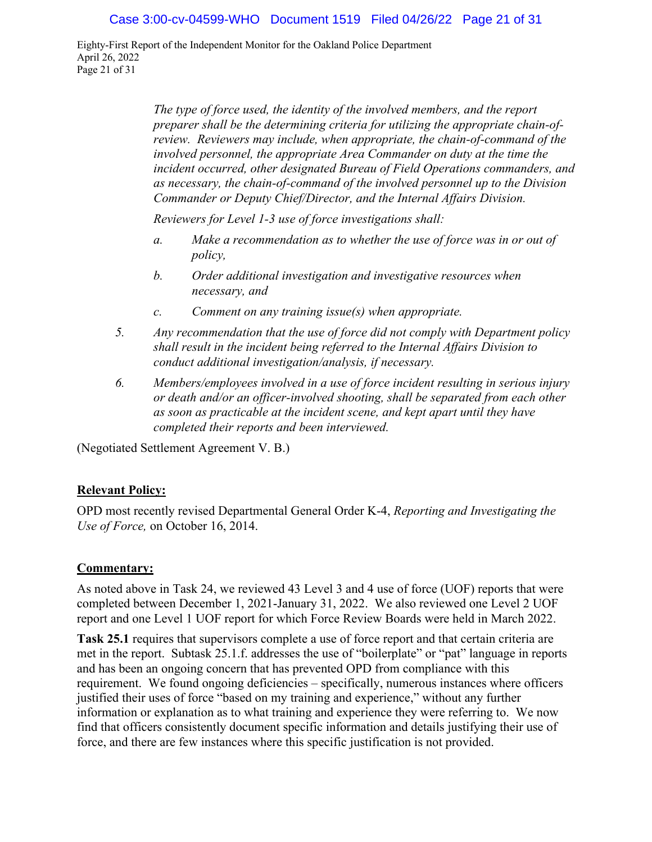Eighty-First Report of the Independent Monitor for the Oakland Police Department April 26, 2022 Page 21 of 31

> *The type of force used, the identity of the involved members, and the report preparer shall be the determining criteria for utilizing the appropriate chain-ofreview. Reviewers may include, when appropriate, the chain-of-command of the involved personnel, the appropriate Area Commander on duty at the time the incident occurred, other designated Bureau of Field Operations commanders, and as necessary, the chain-of-command of the involved personnel up to the Division Commander or Deputy Chief/Director, and the Internal Affairs Division.*

*Reviewers for Level 1-3 use of force investigations shall:*

- *a. Make a recommendation as to whether the use of force was in or out of policy,*
- *b. Order additional investigation and investigative resources when necessary, and*
- *c. Comment on any training issue(s) when appropriate.*
- *5. Any recommendation that the use of force did not comply with Department policy shall result in the incident being referred to the Internal Affairs Division to conduct additional investigation/analysis, if necessary.*
- *6. Members/employees involved in a use of force incident resulting in serious injury or death and/or an officer-involved shooting, shall be separated from each other as soon as practicable at the incident scene, and kept apart until they have completed their reports and been interviewed.*

(Negotiated Settlement Agreement V. B.)

### **Relevant Policy:**

OPD most recently revised Departmental General Order K-4, *Reporting and Investigating the Use of Force,* on October 16, 2014.

#### **Commentary:**

As noted above in Task 24, we reviewed 43 Level 3 and 4 use of force (UOF) reports that were completed between December 1, 2021-January 31, 2022. We also reviewed one Level 2 UOF report and one Level 1 UOF report for which Force Review Boards were held in March 2022.

**Task 25.1** requires that supervisors complete a use of force report and that certain criteria are met in the report. Subtask 25.1.f. addresses the use of "boilerplate" or "pat" language in reports and has been an ongoing concern that has prevented OPD from compliance with this requirement. We found ongoing deficiencies – specifically, numerous instances where officers justified their uses of force "based on my training and experience," without any further information or explanation as to what training and experience they were referring to. We now find that officers consistently document specific information and details justifying their use of force, and there are few instances where this specific justification is not provided.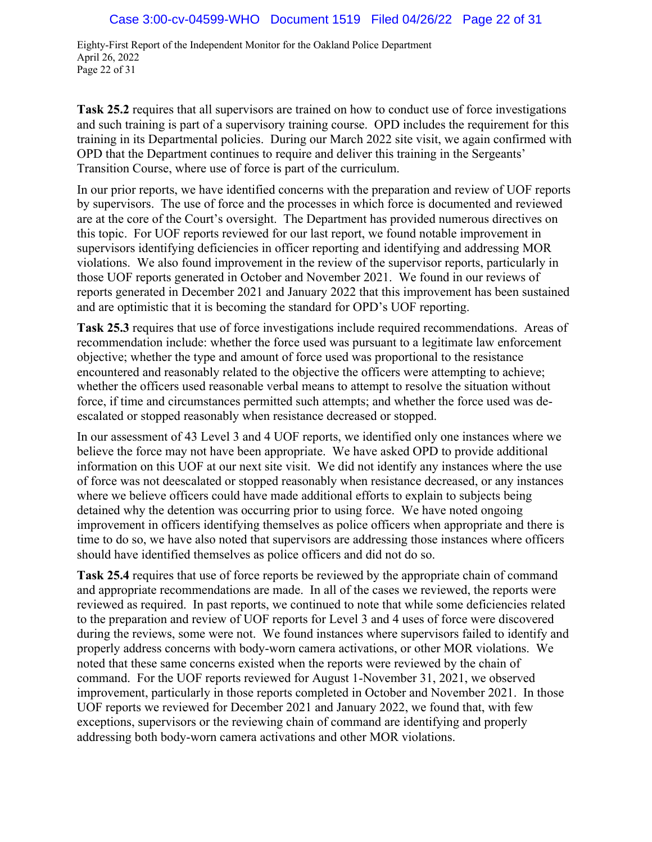Eighty-First Report of the Independent Monitor for the Oakland Police Department April 26, 2022 Page 22 of 31

**Task 25.2** requires that all supervisors are trained on how to conduct use of force investigations and such training is part of a supervisory training course. OPD includes the requirement for this training in its Departmental policies. During our March 2022 site visit, we again confirmed with OPD that the Department continues to require and deliver this training in the Sergeants' Transition Course, where use of force is part of the curriculum.

In our prior reports, we have identified concerns with the preparation and review of UOF reports by supervisors. The use of force and the processes in which force is documented and reviewed are at the core of the Court's oversight. The Department has provided numerous directives on this topic. For UOF reports reviewed for our last report, we found notable improvement in supervisors identifying deficiencies in officer reporting and identifying and addressing MOR violations. We also found improvement in the review of the supervisor reports, particularly in those UOF reports generated in October and November 2021. We found in our reviews of reports generated in December 2021 and January 2022 that this improvement has been sustained and are optimistic that it is becoming the standard for OPD's UOF reporting.

**Task 25.3** requires that use of force investigations include required recommendations. Areas of recommendation include: whether the force used was pursuant to a legitimate law enforcement objective; whether the type and amount of force used was proportional to the resistance encountered and reasonably related to the objective the officers were attempting to achieve; whether the officers used reasonable verbal means to attempt to resolve the situation without force, if time and circumstances permitted such attempts; and whether the force used was deescalated or stopped reasonably when resistance decreased or stopped.

In our assessment of 43 Level 3 and 4 UOF reports, we identified only one instances where we believe the force may not have been appropriate. We have asked OPD to provide additional information on this UOF at our next site visit. We did not identify any instances where the use of force was not deescalated or stopped reasonably when resistance decreased, or any instances where we believe officers could have made additional efforts to explain to subjects being detained why the detention was occurring prior to using force. We have noted ongoing improvement in officers identifying themselves as police officers when appropriate and there is time to do so, we have also noted that supervisors are addressing those instances where officers should have identified themselves as police officers and did not do so.

**Task 25.4** requires that use of force reports be reviewed by the appropriate chain of command and appropriate recommendations are made. In all of the cases we reviewed, the reports were reviewed as required. In past reports, we continued to note that while some deficiencies related to the preparation and review of UOF reports for Level 3 and 4 uses of force were discovered during the reviews, some were not. We found instances where supervisors failed to identify and properly address concerns with body-worn camera activations, or other MOR violations. We noted that these same concerns existed when the reports were reviewed by the chain of command. For the UOF reports reviewed for August 1-November 31, 2021, we observed improvement, particularly in those reports completed in October and November 2021. In those UOF reports we reviewed for December 2021 and January 2022, we found that, with few exceptions, supervisors or the reviewing chain of command are identifying and properly addressing both body-worn camera activations and other MOR violations.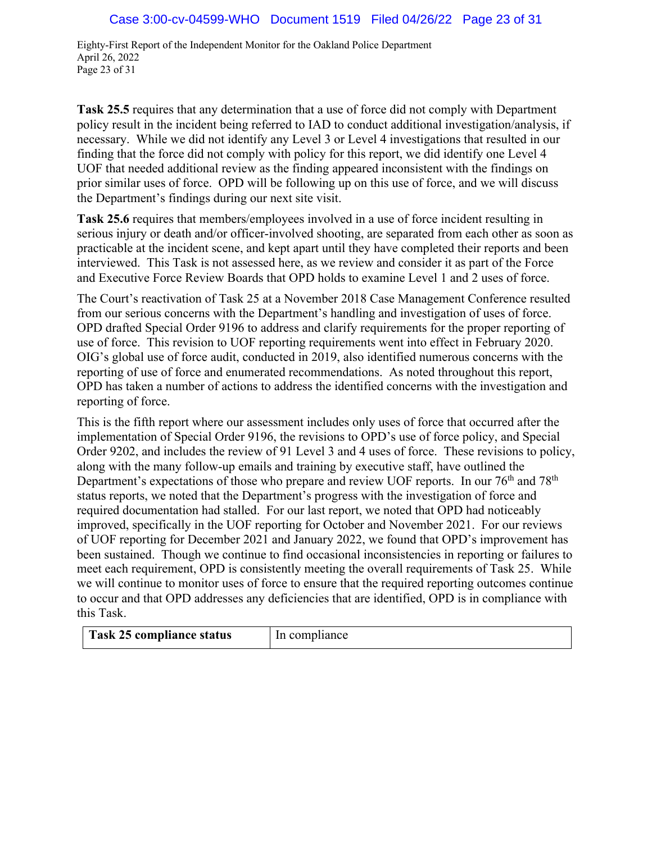Eighty-First Report of the Independent Monitor for the Oakland Police Department April 26, 2022 Page 23 of 31

**Task 25.5** requires that any determination that a use of force did not comply with Department policy result in the incident being referred to IAD to conduct additional investigation/analysis, if necessary. While we did not identify any Level 3 or Level 4 investigations that resulted in our finding that the force did not comply with policy for this report, we did identify one Level 4 UOF that needed additional review as the finding appeared inconsistent with the findings on prior similar uses of force. OPD will be following up on this use of force, and we will discuss the Department's findings during our next site visit.

**Task 25.6** requires that members/employees involved in a use of force incident resulting in serious injury or death and/or officer-involved shooting, are separated from each other as soon as practicable at the incident scene, and kept apart until they have completed their reports and been interviewed. This Task is not assessed here, as we review and consider it as part of the Force and Executive Force Review Boards that OPD holds to examine Level 1 and 2 uses of force.

The Court's reactivation of Task 25 at a November 2018 Case Management Conference resulted from our serious concerns with the Department's handling and investigation of uses of force. OPD drafted Special Order 9196 to address and clarify requirements for the proper reporting of use of force. This revision to UOF reporting requirements went into effect in February 2020. OIG's global use of force audit, conducted in 2019, also identified numerous concerns with the reporting of use of force and enumerated recommendations. As noted throughout this report, OPD has taken a number of actions to address the identified concerns with the investigation and reporting of force.

This is the fifth report where our assessment includes only uses of force that occurred after the implementation of Special Order 9196, the revisions to OPD's use of force policy, and Special Order 9202, and includes the review of 91 Level 3 and 4 uses of force. These revisions to policy, along with the many follow-up emails and training by executive staff, have outlined the Department's expectations of those who prepare and review UOF reports. In our 76<sup>th</sup> and 78<sup>th</sup> status reports, we noted that the Department's progress with the investigation of force and required documentation had stalled. For our last report, we noted that OPD had noticeably improved, specifically in the UOF reporting for October and November 2021. For our reviews of UOF reporting for December 2021 and January 2022, we found that OPD's improvement has been sustained. Though we continue to find occasional inconsistencies in reporting or failures to meet each requirement, OPD is consistently meeting the overall requirements of Task 25. While we will continue to monitor uses of force to ensure that the required reporting outcomes continue to occur and that OPD addresses any deficiencies that are identified, OPD is in compliance with this Task.

| Task 25 compliance status | In compliance |
|---------------------------|---------------|
|---------------------------|---------------|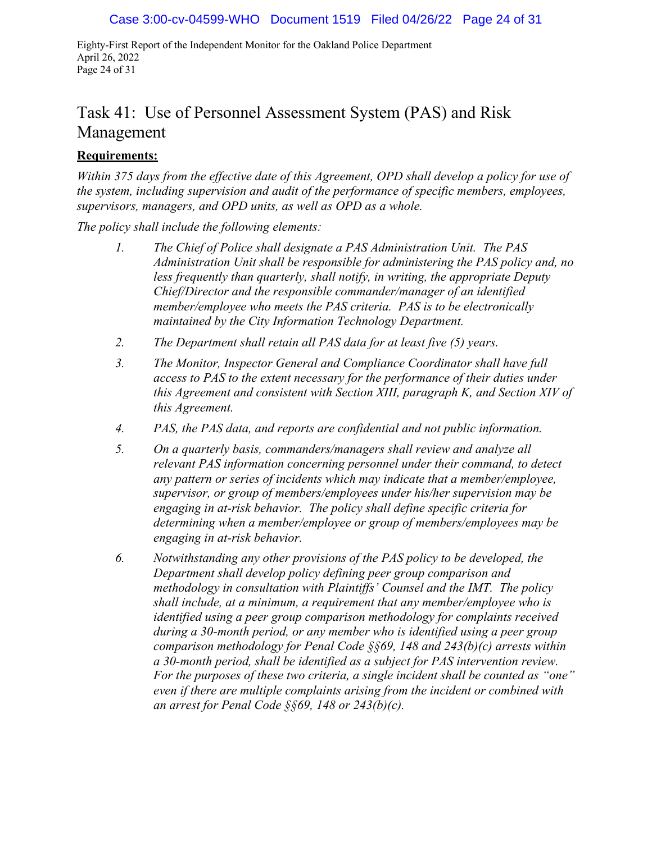Eighty-First Report of the Independent Monitor for the Oakland Police Department April 26, 2022 Page 24 of 31

# Task 41: Use of Personnel Assessment System (PAS) and Risk Management

### **Requirements:**

*Within 375 days from the effective date of this Agreement, OPD shall develop a policy for use of the system, including supervision and audit of the performance of specific members, employees, supervisors, managers, and OPD units, as well as OPD as a whole.* 

*The policy shall include the following elements:*

- *1. The Chief of Police shall designate a PAS Administration Unit. The PAS Administration Unit shall be responsible for administering the PAS policy and, no less frequently than quarterly, shall notify, in writing, the appropriate Deputy Chief/Director and the responsible commander/manager of an identified member/employee who meets the PAS criteria. PAS is to be electronically maintained by the City Information Technology Department.*
- *2. The Department shall retain all PAS data for at least five (5) years.*
- *3. The Monitor, Inspector General and Compliance Coordinator shall have full access to PAS to the extent necessary for the performance of their duties under this Agreement and consistent with Section XIII, paragraph K, and Section XIV of this Agreement.*
- *4. PAS, the PAS data, and reports are confidential and not public information.*
- *5. On a quarterly basis, commanders/managers shall review and analyze all relevant PAS information concerning personnel under their command, to detect any pattern or series of incidents which may indicate that a member/employee, supervisor, or group of members/employees under his/her supervision may be engaging in at-risk behavior. The policy shall define specific criteria for determining when a member/employee or group of members/employees may be engaging in at-risk behavior.*
- *6. Notwithstanding any other provisions of the PAS policy to be developed, the Department shall develop policy defining peer group comparison and methodology in consultation with Plaintiffs' Counsel and the IMT. The policy shall include, at a minimum, a requirement that any member/employee who is identified using a peer group comparison methodology for complaints received during a 30-month period, or any member who is identified using a peer group comparison methodology for Penal Code §§69, 148 and 243(b)(c) arrests within a 30-month period, shall be identified as a subject for PAS intervention review. For the purposes of these two criteria, a single incident shall be counted as "one" even if there are multiple complaints arising from the incident or combined with an arrest for Penal Code §§69, 148 or 243(b)(c).*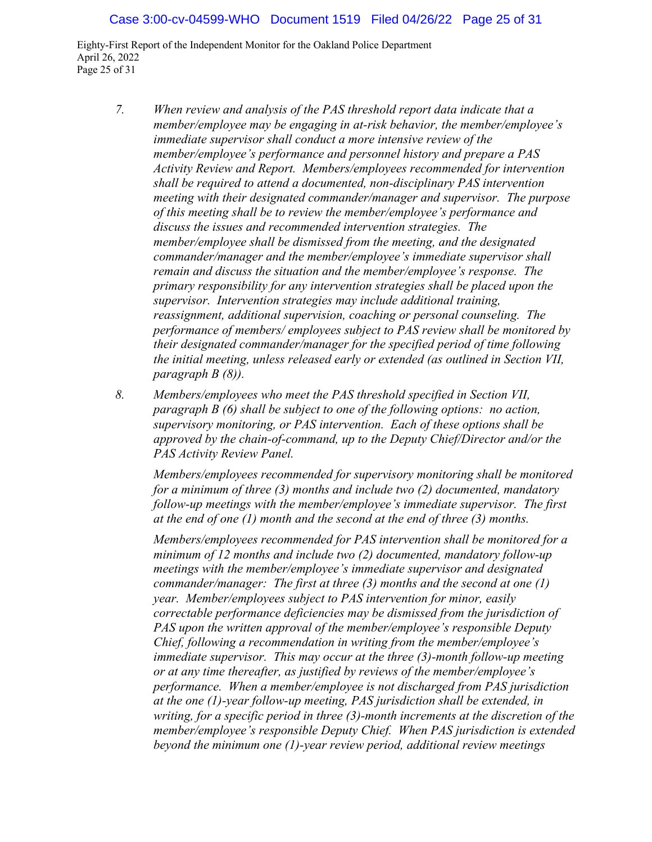Eighty-First Report of the Independent Monitor for the Oakland Police Department April 26, 2022 Page 25 of 31

- *7. When review and analysis of the PAS threshold report data indicate that a member/employee may be engaging in at-risk behavior, the member/employee's immediate supervisor shall conduct a more intensive review of the member/employee's performance and personnel history and prepare a PAS Activity Review and Report. Members/employees recommended for intervention shall be required to attend a documented, non-disciplinary PAS intervention meeting with their designated commander/manager and supervisor. The purpose of this meeting shall be to review the member/employee's performance and discuss the issues and recommended intervention strategies. The member/employee shall be dismissed from the meeting, and the designated commander/manager and the member/employee's immediate supervisor shall remain and discuss the situation and the member/employee's response. The primary responsibility for any intervention strategies shall be placed upon the supervisor. Intervention strategies may include additional training, reassignment, additional supervision, coaching or personal counseling. The performance of members/ employees subject to PAS review shall be monitored by their designated commander/manager for the specified period of time following the initial meeting, unless released early or extended (as outlined in Section VII, paragraph B (8)).*
- *8. Members/employees who meet the PAS threshold specified in Section VII, paragraph B (6) shall be subject to one of the following options: no action, supervisory monitoring, or PAS intervention. Each of these options shall be approved by the chain-of-command, up to the Deputy Chief/Director and/or the PAS Activity Review Panel.*

*Members/employees recommended for supervisory monitoring shall be monitored for a minimum of three (3) months and include two (2) documented, mandatory follow-up meetings with the member/employee's immediate supervisor. The first at the end of one (1) month and the second at the end of three (3) months.*

*Members/employees recommended for PAS intervention shall be monitored for a minimum of 12 months and include two (2) documented, mandatory follow-up meetings with the member/employee's immediate supervisor and designated commander/manager: The first at three (3) months and the second at one (1) year. Member/employees subject to PAS intervention for minor, easily correctable performance deficiencies may be dismissed from the jurisdiction of PAS upon the written approval of the member/employee's responsible Deputy Chief, following a recommendation in writing from the member/employee's immediate supervisor. This may occur at the three (3)-month follow-up meeting or at any time thereafter, as justified by reviews of the member/employee's performance. When a member/employee is not discharged from PAS jurisdiction at the one (1)-year follow-up meeting, PAS jurisdiction shall be extended, in writing, for a specific period in three (3)-month increments at the discretion of the member/employee's responsible Deputy Chief. When PAS jurisdiction is extended beyond the minimum one (1)-year review period, additional review meetings*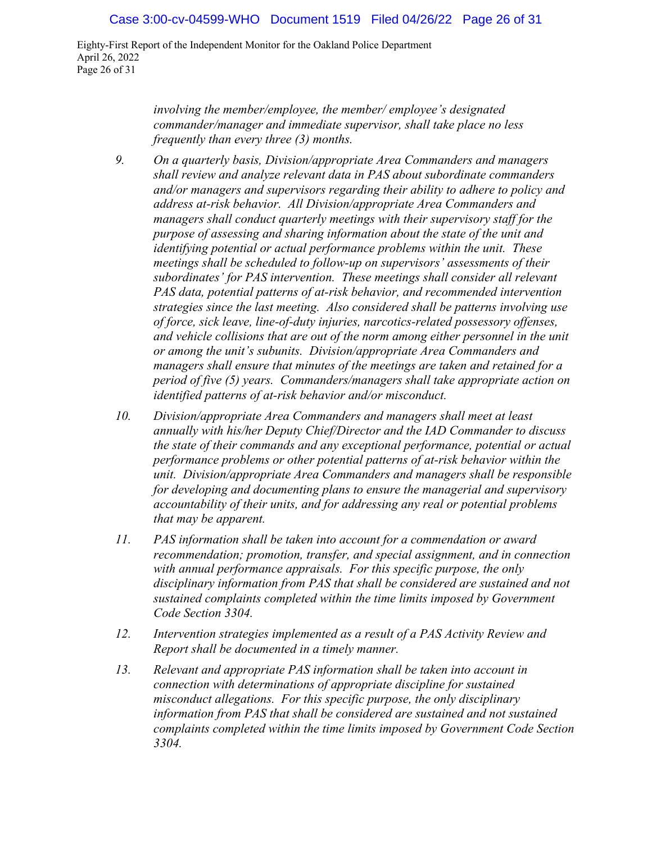Eighty-First Report of the Independent Monitor for the Oakland Police Department April 26, 2022 Page 26 of 31

> *involving the member/employee, the member/ employee's designated commander/manager and immediate supervisor, shall take place no less frequently than every three (3) months.*

- *9. On a quarterly basis, Division/appropriate Area Commanders and managers shall review and analyze relevant data in PAS about subordinate commanders and/or managers and supervisors regarding their ability to adhere to policy and address at-risk behavior. All Division/appropriate Area Commanders and managers shall conduct quarterly meetings with their supervisory staff for the purpose of assessing and sharing information about the state of the unit and identifying potential or actual performance problems within the unit. These meetings shall be scheduled to follow-up on supervisors' assessments of their subordinates' for PAS intervention. These meetings shall consider all relevant PAS data, potential patterns of at-risk behavior, and recommended intervention strategies since the last meeting. Also considered shall be patterns involving use of force, sick leave, line-of-duty injuries, narcotics-related possessory offenses, and vehicle collisions that are out of the norm among either personnel in the unit or among the unit's subunits. Division/appropriate Area Commanders and managers shall ensure that minutes of the meetings are taken and retained for a period of five (5) years. Commanders/managers shall take appropriate action on identified patterns of at-risk behavior and/or misconduct.*
- *10. Division/appropriate Area Commanders and managers shall meet at least annually with his/her Deputy Chief/Director and the IAD Commander to discuss the state of their commands and any exceptional performance, potential or actual performance problems or other potential patterns of at-risk behavior within the unit. Division/appropriate Area Commanders and managers shall be responsible for developing and documenting plans to ensure the managerial and supervisory accountability of their units, and for addressing any real or potential problems that may be apparent.*
- *11. PAS information shall be taken into account for a commendation or award recommendation; promotion, transfer, and special assignment, and in connection with annual performance appraisals. For this specific purpose, the only disciplinary information from PAS that shall be considered are sustained and not sustained complaints completed within the time limits imposed by Government Code Section 3304.*
- *12. Intervention strategies implemented as a result of a PAS Activity Review and Report shall be documented in a timely manner.*
- *13. Relevant and appropriate PAS information shall be taken into account in connection with determinations of appropriate discipline for sustained misconduct allegations. For this specific purpose, the only disciplinary information from PAS that shall be considered are sustained and not sustained complaints completed within the time limits imposed by Government Code Section 3304.*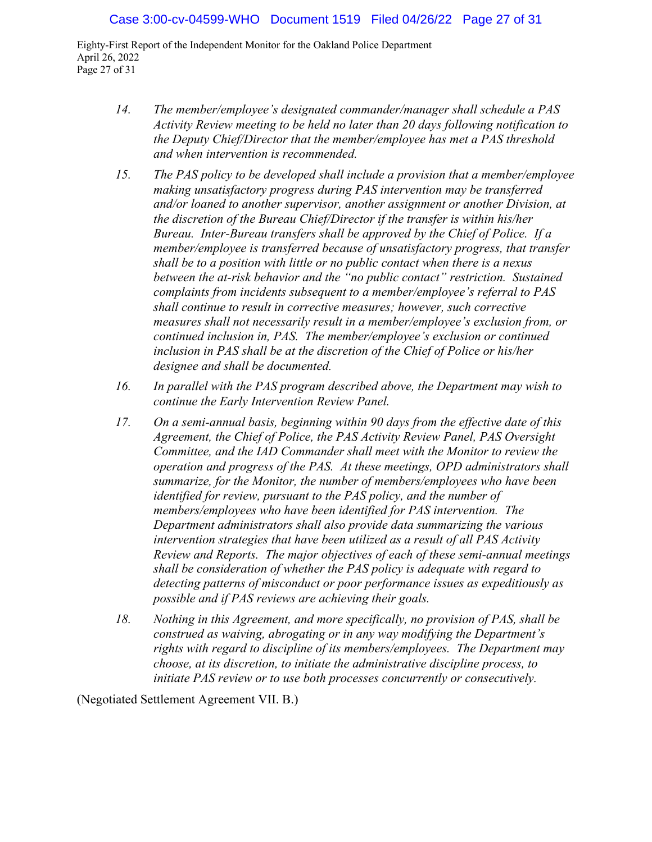Eighty-First Report of the Independent Monitor for the Oakland Police Department April 26, 2022 Page 27 of 31

- *14. The member/employee's designated commander/manager shall schedule a PAS Activity Review meeting to be held no later than 20 days following notification to the Deputy Chief/Director that the member/employee has met a PAS threshold and when intervention is recommended.*
- *15. The PAS policy to be developed shall include a provision that a member/employee making unsatisfactory progress during PAS intervention may be transferred and/or loaned to another supervisor, another assignment or another Division, at the discretion of the Bureau Chief/Director if the transfer is within his/her Bureau. Inter-Bureau transfers shall be approved by the Chief of Police. If a member/employee is transferred because of unsatisfactory progress, that transfer shall be to a position with little or no public contact when there is a nexus between the at-risk behavior and the "no public contact" restriction. Sustained complaints from incidents subsequent to a member/employee's referral to PAS shall continue to result in corrective measures; however, such corrective measures shall not necessarily result in a member/employee's exclusion from, or continued inclusion in, PAS. The member/employee's exclusion or continued inclusion in PAS shall be at the discretion of the Chief of Police or his/her designee and shall be documented.*
- *16. In parallel with the PAS program described above, the Department may wish to continue the Early Intervention Review Panel.*
- *17. On a semi-annual basis, beginning within 90 days from the effective date of this Agreement, the Chief of Police, the PAS Activity Review Panel, PAS Oversight Committee, and the IAD Commander shall meet with the Monitor to review the operation and progress of the PAS. At these meetings, OPD administrators shall summarize, for the Monitor, the number of members/employees who have been identified for review, pursuant to the PAS policy, and the number of members/employees who have been identified for PAS intervention. The Department administrators shall also provide data summarizing the various intervention strategies that have been utilized as a result of all PAS Activity Review and Reports. The major objectives of each of these semi-annual meetings shall be consideration of whether the PAS policy is adequate with regard to detecting patterns of misconduct or poor performance issues as expeditiously as possible and if PAS reviews are achieving their goals.*
- *18. Nothing in this Agreement, and more specifically, no provision of PAS, shall be construed as waiving, abrogating or in any way modifying the Department's rights with regard to discipline of its members/employees. The Department may choose, at its discretion, to initiate the administrative discipline process, to initiate PAS review or to use both processes concurrently or consecutively.*

(Negotiated Settlement Agreement VII. B.)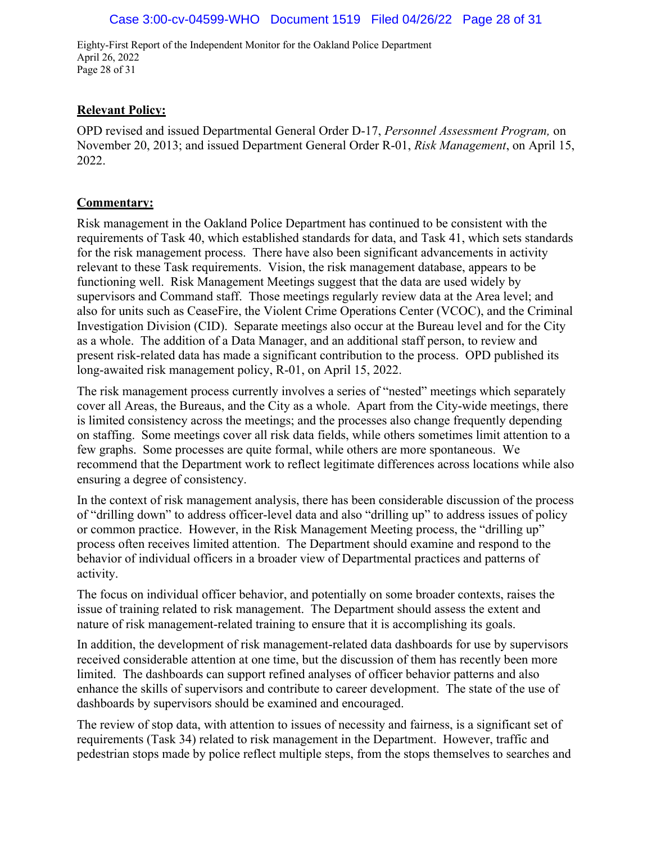Eighty-First Report of the Independent Monitor for the Oakland Police Department April 26, 2022 Page 28 of 31

### **Relevant Policy:**

OPD revised and issued Departmental General Order D-17, *Personnel Assessment Program,* on November 20, 2013; and issued Department General Order R-01, *Risk Management*, on April 15, 2022.

#### **Commentary:**

Risk management in the Oakland Police Department has continued to be consistent with the requirements of Task 40, which established standards for data, and Task 41, which sets standards for the risk management process. There have also been significant advancements in activity relevant to these Task requirements. Vision, the risk management database, appears to be functioning well. Risk Management Meetings suggest that the data are used widely by supervisors and Command staff. Those meetings regularly review data at the Area level; and also for units such as CeaseFire, the Violent Crime Operations Center (VCOC), and the Criminal Investigation Division (CID). Separate meetings also occur at the Bureau level and for the City as a whole. The addition of a Data Manager, and an additional staff person, to review and present risk-related data has made a significant contribution to the process. OPD published its long-awaited risk management policy, R-01, on April 15, 2022.

The risk management process currently involves a series of "nested" meetings which separately cover all Areas, the Bureaus, and the City as a whole. Apart from the City-wide meetings, there is limited consistency across the meetings; and the processes also change frequently depending on staffing. Some meetings cover all risk data fields, while others sometimes limit attention to a few graphs. Some processes are quite formal, while others are more spontaneous. We recommend that the Department work to reflect legitimate differences across locations while also ensuring a degree of consistency.

In the context of risk management analysis, there has been considerable discussion of the process of "drilling down" to address officer-level data and also "drilling up" to address issues of policy or common practice. However, in the Risk Management Meeting process, the "drilling up" process often receives limited attention. The Department should examine and respond to the behavior of individual officers in a broader view of Departmental practices and patterns of activity.

The focus on individual officer behavior, and potentially on some broader contexts, raises the issue of training related to risk management. The Department should assess the extent and nature of risk management-related training to ensure that it is accomplishing its goals.

In addition, the development of risk management-related data dashboards for use by supervisors received considerable attention at one time, but the discussion of them has recently been more limited. The dashboards can support refined analyses of officer behavior patterns and also enhance the skills of supervisors and contribute to career development. The state of the use of dashboards by supervisors should be examined and encouraged.

The review of stop data, with attention to issues of necessity and fairness, is a significant set of requirements (Task 34) related to risk management in the Department. However, traffic and pedestrian stops made by police reflect multiple steps, from the stops themselves to searches and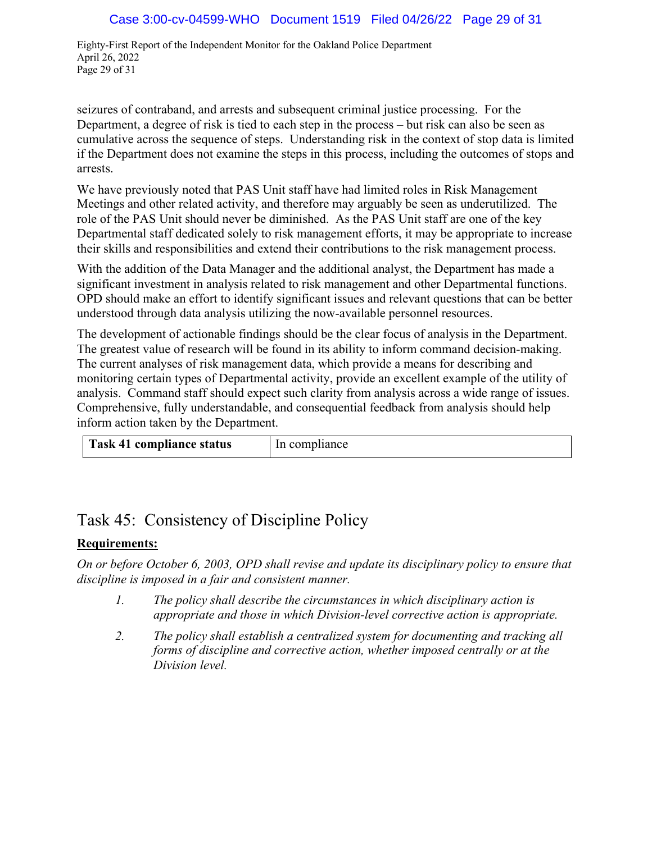Eighty-First Report of the Independent Monitor for the Oakland Police Department April 26, 2022 Page 29 of 31

seizures of contraband, and arrests and subsequent criminal justice processing. For the Department, a degree of risk is tied to each step in the process – but risk can also be seen as cumulative across the sequence of steps. Understanding risk in the context of stop data is limited if the Department does not examine the steps in this process, including the outcomes of stops and arrests.

We have previously noted that PAS Unit staff have had limited roles in Risk Management Meetings and other related activity, and therefore may arguably be seen as underutilized. The role of the PAS Unit should never be diminished. As the PAS Unit staff are one of the key Departmental staff dedicated solely to risk management efforts, it may be appropriate to increase their skills and responsibilities and extend their contributions to the risk management process.

With the addition of the Data Manager and the additional analyst, the Department has made a significant investment in analysis related to risk management and other Departmental functions. OPD should make an effort to identify significant issues and relevant questions that can be better understood through data analysis utilizing the now-available personnel resources.

The development of actionable findings should be the clear focus of analysis in the Department. The greatest value of research will be found in its ability to inform command decision-making. The current analyses of risk management data, which provide a means for describing and monitoring certain types of Departmental activity, provide an excellent example of the utility of analysis. Command staff should expect such clarity from analysis across a wide range of issues. Comprehensive, fully understandable, and consequential feedback from analysis should help inform action taken by the Department.

| <b>Task 41 compliance status</b> | In compliance |
|----------------------------------|---------------|
|                                  |               |

# Task 45: Consistency of Discipline Policy

# **Requirements:**

*On or before October 6, 2003, OPD shall revise and update its disciplinary policy to ensure that discipline is imposed in a fair and consistent manner.*

- *1. The policy shall describe the circumstances in which disciplinary action is appropriate and those in which Division-level corrective action is appropriate.*
- *2. The policy shall establish a centralized system for documenting and tracking all forms of discipline and corrective action, whether imposed centrally or at the Division level.*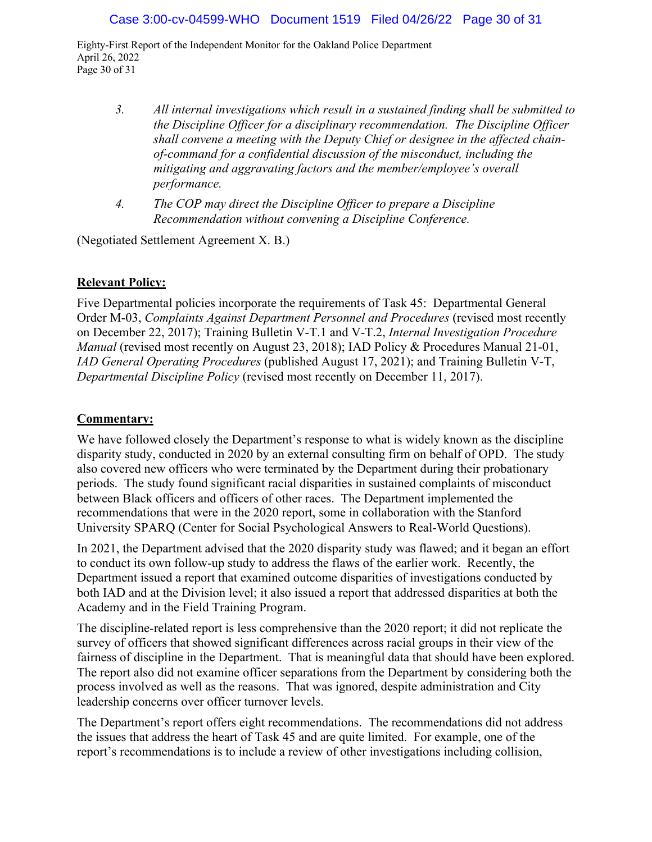Eighty-First Report of the Independent Monitor for the Oakland Police Department April 26, 2022 Page 30 of 31

- *3. All internal investigations which result in a sustained finding shall be submitted to the Discipline Officer for a disciplinary recommendation. The Discipline Officer shall convene a meeting with the Deputy Chief or designee in the affected chainof-command for a confidential discussion of the misconduct, including the mitigating and aggravating factors and the member/employee's overall performance.*
- *4. The COP may direct the Discipline Officer to prepare a Discipline Recommendation without convening a Discipline Conference.*

(Negotiated Settlement Agreement X. B.)

### **Relevant Policy:**

Five Departmental policies incorporate the requirements of Task 45: Departmental General Order M-03, *Complaints Against Department Personnel and Procedures* (revised most recently on December 22, 2017); Training Bulletin V-T.1 and V-T.2, *Internal Investigation Procedure Manual* (revised most recently on August 23, 2018); IAD Policy & Procedures Manual 21-01, *IAD General Operating Procedures* (published August 17, 2021); and Training Bulletin V-T, *Departmental Discipline Policy* (revised most recently on December 11, 2017).

### **Commentary:**

We have followed closely the Department's response to what is widely known as the discipline disparity study, conducted in 2020 by an external consulting firm on behalf of OPD. The study also covered new officers who were terminated by the Department during their probationary periods. The study found significant racial disparities in sustained complaints of misconduct between Black officers and officers of other races. The Department implemented the recommendations that were in the 2020 report, some in collaboration with the Stanford University SPARQ (Center for Social Psychological Answers to Real-World Questions).

In 2021, the Department advised that the 2020 disparity study was flawed; and it began an effort to conduct its own follow-up study to address the flaws of the earlier work. Recently, the Department issued a report that examined outcome disparities of investigations conducted by both IAD and at the Division level; it also issued a report that addressed disparities at both the Academy and in the Field Training Program.

The discipline-related report is less comprehensive than the 2020 report; it did not replicate the survey of officers that showed significant differences across racial groups in their view of the fairness of discipline in the Department. That is meaningful data that should have been explored. The report also did not examine officer separations from the Department by considering both the process involved as well as the reasons. That was ignored, despite administration and City leadership concerns over officer turnover levels.

The Department's report offers eight recommendations. The recommendations did not address the issues that address the heart of Task 45 and are quite limited. For example, one of the report's recommendations is to include a review of other investigations including collision,